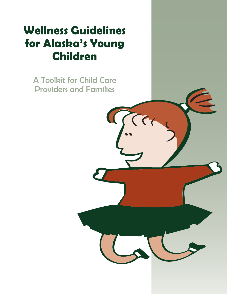# **Wellness Guidelines for Alaska's Young Children**

A Toolkit for Child Care Providers and Families

 $\overline{\mathcal{L}}$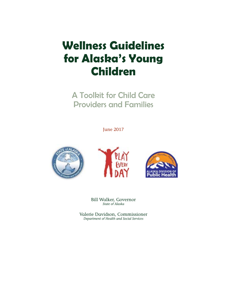# **Wellness Guidelines for Alaska's Young Children**

A Toolkit for Child Care Providers and Families

June 2017







Bill Walker, Governor *State of Alaska*

Valerie Davidson, Commissioner *Department of Health and Social Services*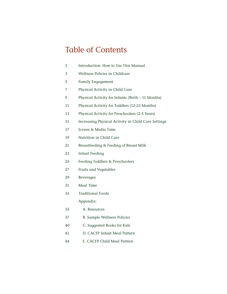### Table of Contents

| $\mathbf{1}$ | Introduction: How to Use This Manual                |
|--------------|-----------------------------------------------------|
| 3            | Wellness Policies in Childcare                      |
| 5            | <b>Family Engagement</b>                            |
| 7            | Physical Activity in Child Care                     |
| 9            | Physical Activity for Infants (Birth – 11 Months)   |
| 11           | Physical Activity for Toddlers (12-23 Months)       |
| 13           | Physical Activity for Preschoolers (2-5 Years)      |
| 15           | Increasing Physical Activity in Child Care Settings |
| 17           | Screen & Media Time                                 |
| 19           | Nutrition in Child Care                             |
| 21           | Breastfeeding & Feeding of Breast Milk              |
| 23           | <b>Infant Feeding</b>                               |
| 25           | Feeding Toddlers & Preschoolers                     |
| 27           | Fruits and Vegetables                               |
| 29           | <b>Beverages</b>                                    |
| 31           | Meal Time                                           |
|              |                                                     |

[Traditional Foods](#page-35-0)

Appendix:

- [35 A. Resources](#page-37-0)
- [37 B. Sample Wellness Policies](#page-39-0)
- [40 C. Suggested Books for Kids](#page-42-0)
- [41 D. CACFP Infant Meal Pattern](#page-43-0)
- [44 E. CACFP Child Meal Pattern](#page-46-0)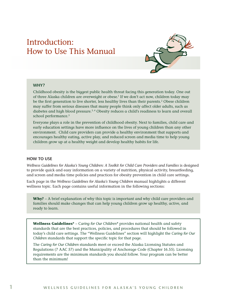### <span id="page-3-0"></span>Introduction: How to Use This Manual



#### **WHY?**

Childhood obesity is the biggest public health threat facing this generation today. One out of three Alaska children are overweight or obese.<sup>1</sup> If we don't act now, children today may be the first generation to live shorter, less healthy lives than their parents.<sup>2</sup> Obese children may suffer from serious diseases that many people think only affect older adults, such as diabetes and high blood pressure. $3, 4$  Obesity reduces a child's readiness to learn and overall school performance.<sup>5</sup>

Everyone plays a role in the prevention of childhood obesity. Next to families, child care and early education settings have more influence on the lives of young children than any other environment. Child care providers can provide a healthy environment that supports and encourages healthy eating, active play, and reduced screen and media time to help young children grow up at a healthy weight and develop healthy habits for life.

#### **HOW TO USE**

*Wellness Guidelines for Alaska's Young Children: A Toolkit for Child Care Providers and Families is designed* to provide quick and easy information on a variety of nutrition, physical activity, breastfeeding, and screen and media time policies and practices for obesity prevention in child care settings.

Each page in the *Wellness Guidelines for Alaska's Young Children* manual highlights a different wellness topic. Each page contains useful information in the following sections:

**Why?** – A brief explanation of why this topic is important and why child care providers and families should make changes that can help young children grow up healthy, active, and ready to learn.

**Wellness Guidelines\*** – C*aring for Our Children\** provides national health and safety standards that are the best practices, policies, and procedures that should be followed in today's child care settings. The "Wellness Guidelines" section will highlight the *Caring for Our Children* standards that support the specific topic for that page.

The *Caring for Our Children* standards meet or exceed the Alaska Licensing Statutes and Regulations (7 AAC 57) and the Municipality of Anchorage Code (Chapter 16.55). Licensing requirements are the minimum standards you should follow. Your program can be better than the minimum!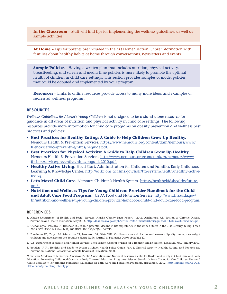**In the Classroom** – Staff will find tips for implementing the wellness guidelines, as well as sample activities.

**At Home** – Tips for parents are included in the "At Home" section. Share information with families about healthy habits at home through conversations, newsletters and events.

**Sample Policies** – Having a written plan that includes nutrition, physical activity, breastfeeding, and screen and media time policies is more likely to promote the optimal health of children in child care settings. This section provides samples of model policies that could be adopted and implemented by your program.

**Resources** – Links to online resources provide access to many more ideas and examples of successful wellness programs.

#### **RESOURCES**

*Wellness Guidelines for Alaska's Young Children* is not designed to be a stand-alone resource for guidance in all areas of nutrition and physical activity in child care settings. The following resources provide more information for child care programs on obesity prevention and wellness best practices and policies:

- **Best Practices for Healthy Eating: A Guide to Help Children Grow Up Healthy.** Nemours Health & Prevention Services. https://www.nemours.org/content/dam/nemours/www/ filebox/service/preventive/nhps/heguide.pdf.
- **Best Practices for Physical Activity: A Guide to Help Children Grow Up Healthy.** Nemours Health & Prevention Services. http://www.nemours.org/content/dam/nemours/www/ filebox/service/preventive/nhps/paguide2010.pdf.
- **Healthy Active Living.** Head Start, Administration for Children and Families Early Childhood Learning & Knowledge Center. http://eclkc.ohs.acf.hhs.gov/hslc/tta-system/health/healthy-activeliving.
- **Let's Move! Child Care.** Nemours Children's Health System. https://healthykidshealthyfuture. org/.
- **Nutrition and Wellness Tips for Young Children: Provider Handbook for the Child and Adult Care Food Program.** USDA Food and Nutrition Service. http://www.fns.usda.gov/ tn/nutrition-and-wellness-tips-young-children-provider-handbook-child-and-adult-care-food-program.

#### **REFERENCES**

- 1. Alaska Department of Health and Social Services. Alaska Obesity Facts Report 2014. Anchorage, AK: Section of Chronic Disease Prevention and Health Promotion. May 2014. http://dhss.alaska.gov/dph/Chronic/Documents/Obesity/pubs/2014AlaskaObesityFacts.pdf.
- 2. Olshansky SJ, Passaro DJ, Hershow RC, et al. A potential decline in life expectancy in the United States in the 21st Century. N Engl J Med 2005; 352:1138-1145 March 17, 2005DOI: 10.1056/NEJMsr043743.
- 3. Freedman DS, Zuguo M, Srinivasan SR, Berenson GS, Dietz WH. Cardiovascular risk factors and excess adiposity among overweight children and adolescents: the Bogalusa Heart Study. Journal of Pediatrics 2007; 150(1):12-17.
- 4. U.S. Department of Health and Human Services. The Surgeon General's Vision for a Healthy and Fit Nation. Rockville, MD. January 2010.
- 5. Bogden, JF. Fit, Healthy and Ready to Learn: a School Health Policy Guide. Part 1. Physical Activity, Healthy Eating, and Tobacco-use Prevention. National Association of State Boards of Education, 2000.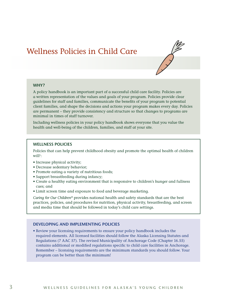### <span id="page-5-0"></span>Wellness Policies in Child Care



#### **WHY?**

A policy handbook is an important part of a successful child care facility. Policies are a written representation of the values and goals of your program. Policies provide clear guidelines for staff and families, communicate the benefits of your program to potential client families, and shape the decisions and actions your program makes every day. Policies are permanent – they provide consistency and structure so that changes to programs are minimal in times of staff turnover.

Including wellness policies in your policy handbook shows everyone that you value the health and well-being of the children, families, and staff at your site.

#### **WELLNESS POLICIES**

Policies that can help prevent childhood obesity and promote the optimal health of children  $\text{will}^{\scriptscriptstyle 1}$ :

- Increase physical activity;
- Decrease sedentary behavior;
- Promote eating a variety of nutritious foods;
- Support breastfeeding during infancy;
- Create a healthy eating environment that is responsive to children's hunger and fullness cues; and
- Limit screen time and exposure to food and beverage marketing.

*Caring for Our Children\** provides national health and safety standards that are the best practices, policies, and procedures for nutrition, physical activity, breastfeeding, and screen and media time that should be followed in today's child care settings.

#### **DEVELOPING AND IMPLEMENTING POLICIES**

• Review your licensing requirements to ensure your policy handbook includes the required elements. All licensed facilities should follow the Alaska Licensing Statutes and Regulations (7 AAC 57). The revised Municipality of Anchorage Code (Chapter 16.55) contains additional or modified regulations specific to child care facilities in Anchorage. Remember – licensing requirements are the minimum standards you should follow. Your program can be better than the minimum!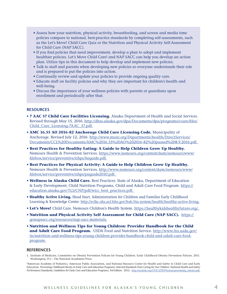- Assess how your nutrition, physical activity, breastfeeding, and screen and media time policies compare to national, best-practice standards by completing self-assessments, such as the Let's Move! Child Care Quiz or the Nutrition and Physical Activity Self-Assessment for Child Care (NAP SACC).
- If you find policies that need improvement, develop a plan to adopt and implement healthier policies. Let's Move Child Care! and NAP SACC can help you develop an action plan. Utilize tips in this document to help develop and implement new policies.
- Talk to staff and parents when developing new policies so everyone understands their role and is prepared to put the policies into action.
- Continually review and update your policies to provide ongoing quality care.
- Educate staff on facility policies and why they are important for children's health and well-being.
- Discuss the importance of your wellness policies with parents or guardians upon enrollment and periodically after that.

#### **RESOURCES**

- **7 AAC 57 Child Care Facilities Licensing.** Alaska Department of Health and Social Services. Revised through May 15, 2016: http://dhss.alaska.gov/dpa/Documents/dpa/programs/ccare/files/ Child\_Care\_Licensing-7AAC\_57.pdf.
- **AMC 16.55 AO 2016-82 Anchorage Child Care Licensing Code.** Municipality of Anchorage. Revised July 12, 2016: http://www.muni.org/Departments/health/DirectServices/ Documents/CCL%20Documents/AMC%2016.55%20AO%202016-82%20passed%208.9.2016.pdf.
- **Best Practices for Healthy Eating: A Guide to Help Children Grow Up Healthy.** Nemours Health & Prevention Services. https://www.nemours.org/content/dam/nemours/www/ filebox/service/preventive/nhps/heguide.pdf.
- **Best Practices for Physical Activity: A Guide to Help Children Grow Up Healthy.** Nemours Health & Prevention Services. http://www.nemours.org/content/dam/nemours/www/ filebox/service/preventive/nhps/paguide2010.pdf.
- **Wellness in Alaska Child Care.** Best Practices. State of Alaska, Department of Education & Early Development, Child Nutrition Programs, Child and Adult Care Food Program. https:// education.alaska.gov/TLS/CNP/pdf/wicc\_best\_practices.pdf.
- **Healthy Active Living.** Head Start, Administration for Children and Families Early Childhood Learning & Knowledge Center. http://eclkc.ohs.acf.hhs.gov/hslc/tta-system/health/healthy-active-living.
- **Let's Move!** Child Care. Nemours Children's Health System. https://healthykidshealthyfuture.org/.
- **Nutrition and Physical Activity Self Assessment for Child Care (NAP SACC).** https:// gonapsacc.org/resources/nap-sacc-materials.
- **Nutrition and Wellness Tips for Young Children: Provider Handbook for the Child and Adult Care Food Program.** USDA Food and Nutrition Service. http://www.fns.usda.gov/ tn/nutrition-and-wellness-tips-young-children-provider-handbook-child-and-adult-care-foodprogram.

#### **REFERENCES**

1. Institute of Medicine, Committee on Obesity Prevention Policies for Young Children. Early Childhood Obesity Prevention Policies. 2011. Washington, D.C.: The National Academies Press.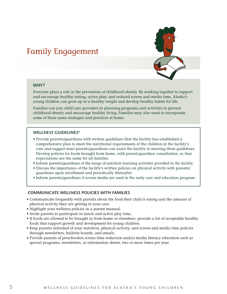### <span id="page-7-0"></span>Family Engagement



#### **WHY?**

Everyone plays a role in the prevention of childhood obesity. By working together to support and encourage healthy eating, active play, and reduced screen and media time, Alaska's young children can grow up at a healthy weight and develop healthy habits for life.

Families can join child care providers in planning programs and activities to prevent childhood obesity and encourage healthy living. Families may also want to incorporate some of these same strategies and practices at home.

#### **WELLNESS GUIDELINES\***

- Provide parents/guardians with written guidelines that the facility has established a comprehensive plan to meet the nutritional requirements of the children in the facility's care and suggest ways parents/guardians can assist the facility in meeting these guidelines. Develop policies for foods brought from home, with parent/guardian consultation, so that expectations are the same for all families.
- Inform parents/guardians of the range of nutrition learning activities provided in the facility.
- Discuss the importance of the facility's written policies on physical activity with parents/ guardians upon enrollment and periodically thereafter.
- Inform parents/guardians if screen media are used in the early care and education program.

#### **COMMUNICATE WELLNESS POLICIES WITH FAMILIES**

- Communicate frequently with parents about the food their child is eating and the amount of physical activity they are getting in your care.
- Highlight your wellness policies in a parent manual.
- Invite parents to participate in lunch and active play time.
- If foods are allowed to be brought in from home or elsewhere, provide a list of acceptable healthy foods that support growth and development for young children.
- Keep parents informed of your nutrition, physical activity, and screen and media time policies through newsletters, bulletin boards, and emails.
- Provide parents of preschoolers screen time reduction and/or media literacy education such as special programs, newsletters, or information sheets, two or more times per year.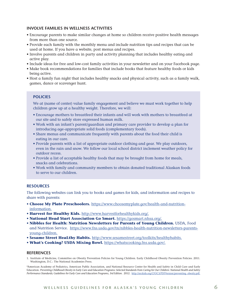#### **INVOLVE FAMILIES IN WELLNESS ACTIVITIES**

- Encourage parents to make similar changes at home so children receive positive health messages from more than one source.
- Provide each family with the monthly menu and include nutrition tips and recipes that can be used at home. If you have a website, post menus and recipes.
- Involve parents and children in party and activity planning that includes healthy eating and active play.
- Include ideas for free and low-cost family activities in your newsletter and on your Facebook page.
- Make book recommendations for families that include books that feature healthy foods or kids being active.
- Host a family fun night that includes healthy snacks and physical activity, such as a family walk, games, dance or scavenger hunt.

#### **POLICIES**

We at (name of center) value family engagement and believe we must work together to help children grow up at a healthy weight. Therefore, we will:

- Encourage mothers to breastfeed their infants and will work with mothers to breastfeed at our site and to safely store expressed human milk.
- Work with an infant's parent/guardian and primary care provider to develop a plan for introducing age-appropriate solid foods (complementary foods).
- Share menus and communicate frequently with parents about the food their child is eating in our care.
- Provide parents with a list of appropriate outdoor clothing and gear. We play outdoors, even in the rain and snow. We follow our local school district inclement weather policy for outdoor recess.
- Provide a list of acceptable healthy foods that may be brought from home for meals, snacks and celebrations.
- Work with family and community members to obtain donated traditional Alaskan foods to serve to our children.

#### **RESOURCES**

The following websites can link you to books and games for kids, and information and recipes to share with parents:

- **Choose My Plate Preschoolers.** https://www.choosemyplate.gov/health-and-nutritioninformation.
- **Harvest for Healthy Kids.** http://www.harvestforhealthykids.org/.
- **National Head Start Association Go Smart.** https://gosmart.nhsa.org/.
- **Nibbles for Health: Nutrition Newsletters for Parents of Young Children.** USDA, Food and Nutrition Service. https://www.fns.usda.gov/tn/nibbles-health-nutrition-newsletters-parentsyoung-children.
- **Sesame Street HeaLthy Habits.** http://www.sesamestreet.org/toolkits/healthyhabits.
- **What's Cooking? USDA Mixing Bowl.** https://whatscooking.fns.usda.gov/.

#### **REFERENCES**

1. Institute of Medicine, Committee on Obesity Prevention Policies for Young Children. Early Childhood Obesity Prevention Policies. 2011. Washington, D.C.: The National Academies Press.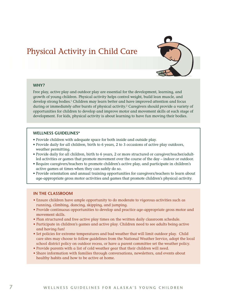### <span id="page-9-0"></span>Physical Activity in Child Care



#### **WHY?**

Free play, active play and outdoor play are essential for the development, learning, and growth of young children. Physical activity helps control weight, build lean muscle, and develop strong bodies.1 Children may learn better and have improved attention and focus during or immediately after bursts of physical activity.<sup>2</sup> Caregivers should provide a variety of opportunities for children to develop and improve motor and movement skills at each stage of development. For kids, physical activity is about learning to have fun moving their bodies.

#### **WELLNESS GUIDELINES\***

- Provide children with adequate space for both inside and outside play.
- Provide daily for all children, birth to 6 years, 2 to 3 occasions of active play outdoors, weather permitting.
- Provide daily for all children, birth to 6 years, 2 or more structured or caregiver/teacher/adultled activities or games that promote movement over the course of the day – indoor or outdoor.
- Require caregivers/teachers to promote children's active play, and participate in children's active games at times when they can safely do so.
- Provide orientation and annual training opportunities for caregivers/teachers to learn about age-appropriate gross motor activities and games that promote children's physical activity.

#### **IN THE CLASSROOM**

- Ensure children have ample opportunity to do moderate to vigorous activities such as running, climbing, dancing, skipping, and jumping.
- Provide continuous opportunities to develop and practice age-appropriate gross motor and movement skills.
- Plan structured and free active play times on the written daily classroom schedule.
- Participate in children's games and active play. Children need to see adults being active and having fun!
- Set policies for extreme temperatures and bad weather that will limit outdoor play. Child care sites may choose to follow guidelines from the National Weather Service, adopt the local school district policy on outdoor recess, or have a parent committee set the weather policy.
- Provide parents with a list of cold weather gear that their children will need.
- Share information with families through conversations, newsletters, and events about healthy habits and how to be active at home.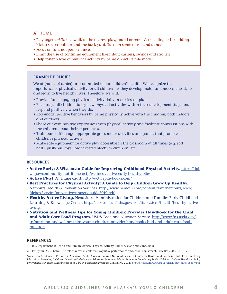#### **AT HOME**

- Play together! Take a walk to the nearest playground or park. Go sledding or bike riding. Kick a soccer ball around the back yard. Turn on some music and dance.
- Focus on fun, not performance.
- Limit the use of confining equipment like infant carriers, swings and strollers.
- Help foster a love of physical activity by being an active role model.

#### **EXAMPLE POLICIES**

We at (name of center) are committed to our children's health. We recognize the importance of physical activity for all children as they develop motor and movements skills and learn to live healthy lives. Therefore, we will:

- Provide fun, engaging physical activity daily in our lesson plans.
- Encourage all children to try new physical activities within their development stage and respond positively when they do.
- Role-model positive behaviors by being physically active with the children, both indoors and outdoors.
- Share our own positive experiences with physical activity and facilitate conversations with the children about their experiences.
- Train our staff on age-appropriate gross motor activities and games that promote children's physical activity.
- Make safe equipment for active play accessible in the classroom at all times (e.g. soft balls, push-pull toys, low carpeted blocks to climb on, etc.).

#### **RESOURCES**

- **Active Early: A Wisconsin Guide for Improving Childhood Physical Activity.** https://dpi. wi.gov/community-nutrition/cacfp/wellness/active-early-healthy-bites.
- **Active Play!** Dr. Diane Craft. http://activeplaybooks.com/.
- **Best Practices for Physical Activity: A Guide to Help Children Grow Up Healthy.** Nemours Health & Prevention Services. http://www.nemours.org/content/dam/nemours/www/ filebox/service/preventive/nhps/paguide2010.pdf.
- **Healthy Active Living.** Head Start, Administration for Children and Families Early Childhood Learning & Knowledge Center. http://eclkc.ohs.acf.hhs.gov/hslc/tta-system/health/healthy-activeliving.
- **Nutrition and Wellness Tips for Young Children: Provider Handbook for the Child and Adult Care Food Program.** USDA Food and Nutrition Service. http://www.fns.usda.gov/ tn/nutrition-and-wellness-tips-young-children-provider-handbook-child-and-adult-care-foodprogram

#### **REFERENCES**

- 1. U.S. Department of Health and Human Services. Physical Activity Guidelines for Americans. 2008.
- 2. Pellegrini, A., C. Bohn. The role of recess in children's cognitive performance and school adjustment. Educ Res 2005; 34:13-19.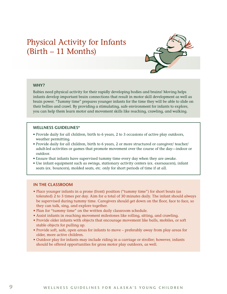### <span id="page-11-0"></span>Physical Activity for Infants (Birth – 11 Months)



#### **WHY?**

Babies need physical activity for their rapidly developing bodies and brains! Moving helps infants develop important brain connections that result in motor skill development as well as brain power. "Tummy time" prepares younger infants for the time they will be able to slide on their bellies and crawl. By providing a stimulating, safe environment for infants to explore, you can help them learn motor and movement skills like reaching, crawling, and walking.

#### **WELLNESS GUIDELINES\***

- Provide daily for all children, birth to 6 years, 2 to 3 occasions of active play outdoors, weather permitting.
- Provide daily for all children, birth to 6 years, 2 or more structured or caregiver/ teacher/ adult-led activities or games that promote movement over the course of the day—indoor or outdoor.
- Ensure that infants have supervised tummy time every day when they are awake.
- Use infant equipment such as swings, stationary activity centers (ex. exersaucers), infant seats (ex. bouncers), molded seats, etc. only for short periods of time if at all.

#### **IN THE CLASSROOM**

- Place younger infants in a prone (front) position ("tummy time") for short bouts (as tolerated) 2 to 3 times per day. Aim for a total of 30 minutes daily. The infant should always be supervised during tummy time. Caregivers should get down on the floor, face to face, so they can talk, sing, and explore together.
- Plan for "tummy time" on the written daily classroom schedule.
- Assist infants in reaching movement milestones like rolling, sitting, and crawling.
- Provide older infants with objects that encourage movement like balls, mobiles, or soft stable objects for pulling up.
- Provide soft, safe, open areas for infants to move preferably away from play areas for older, more active children.
- Outdoor play for infants may include riding in a carriage or stroller; however, infants should be offered opportunities for gross motor play outdoors, as well.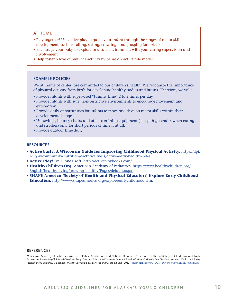#### **AT HOME**

- Play together! Use active play to guide your infant through the stages of motor skill development, such as rolling, sitting, crawling, and grasping for objects.
- Encourage your baby to explore in a safe environment with your caring supervision and involvement.
- Help foster a love of physical activity by being an active role model!

#### **EXAMPLE POLICIES**

We at (name of center) are committed to our children's health. We recognize the importance of physical activity from birth for developing healthy bodies and brains. Therefore, we will:

- Provide infants with supervised "tummy time" 2 to 3 times per day.
- Provide infants with safe, non-restrictive environments to encourage movement and exploration.
- Provide daily opportunities for infants to move and develop motor skills within their developmental stage.
- Use swings, bouncy chairs and other confining equipment (except high chairs when eating and strollers) only for short periods of time if at all.
- Provide outdoor time daily.

#### **RESOURCES**

- **Active Early: A Wisconsin Guide for Improving Childhood Physical Activity.** https://dpi. wi.gov/community-nutrition/cacfp/wellness/active-early-healthy-bites.
- **Active Play!** Dr. Diane Craft. http://activeplaybooks.com/.
- **HealthyChildren.Org.** American Academy of Pediatrics. https://www.healthychildren.org/ English/healthy-living/growing-healthy/Pages/default.aspx.
- **SHAPE America (Society of Health and Physical Educators) Explore Early Childhood Education.** http://www.shapeamerica.org/exploreearlychildhood.cfm.

#### **REFERENCES**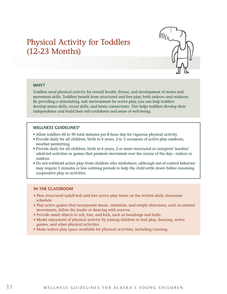### <span id="page-13-0"></span>Physical Activity for Toddlers (12-23 Months)



#### **WHY?**

Toddlers need physical activity for overall health, fitness, and development of motor and movement skills. Toddlers benefit from structured and free play, both indoors and outdoors. By providing a stimulating, safe environment for active play, you can help toddlers develop motor skills, social skills, and brain connections. This helps toddlers develop their independence and build their self-confidence and sense of well-being.

#### **WELLNESS GUIDELINES\***

- Allow toddlers 60 to 90 total minutes per 8-hour day for vigorous physical activity.
- Provide daily for all children, birth to 6 years, 2 to 3 occasions of active play outdoors, weather permitting.
- Provide daily for all children, birth to 6 years, 2 or more structured or caregiver/ teacher/ adult-led activities or games that promote movement over the course of the day—indoor or outdoor.
- Do not withhold active play from children who misbehave, although out-of-control behavior may require 5 minutes or less calming periods to help the child settle down before resuming cooperative play or activities.

#### **IN THE CLASSROOM**

- Plan structured (adult-led) and free active play times on the written daily classroom schedule.
- Play active games that incorporate music, imitation, and simple directions, such as animal movements, follow the leader or dancing with scarves.
- Provide small objects to roll, toss, and kick, such as beanbags and balls.
- Model enjoyment of physical activity by joining children in ball play, dancing, active games, and other physical activities.
- Make indoor play space available for physical activities, including running.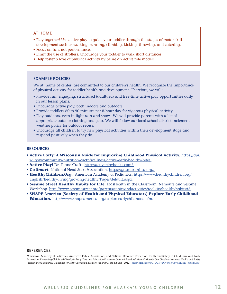#### **AT HOME**

- Play together! Use active play to guide your toddler through the stages of motor skill development such as walking, running, climbing, kicking, throwing, and catching.
- Focus on fun, not performance.
- Limit the use of strollers. Encourage your toddler to walk short distances.
- Help foster a love of physical activity by being an active role model!

#### **EXAMPLE POLICIES**

We at (name of center) are committed to our children's health. We recognize the importance of physical activity for toddler health and development. Therefore, we will:

- Provide fun, engaging, structured (adult-led) and free-time active play opportunities daily in our lesson plans.
- Encourage active play, both indoors and outdoors.
- Provide toddlers 60 to 90 minutes per 8-hour day for vigorous physical activity.
- Play outdoors, even in light rain and snow. We will provide parents with a list of appropriate outdoor clothing and gear. We will follow our local school district inclement weather policy for outdoor recess.
- Encourage all children to try new physical activities within their development stage and respond positively when they do.

#### **RESOURCES**

- **Active Early: A Wisconsin Guide for Improving Childhood Physical Activity.** https://dpi. wi.gov/community-nutrition/cacfp/wellness/active-early-healthy-bites.
- **Active Play!** Dr. Diane Craft. http://activeplaybooks.com/.
- **Go Smart.** National Head Start Association. https://gosmart.nhsa.org/.
- HealthyChildren. Org. American Academy of Pediatrics. https://www.healthychildren.org/ English/healthy-living/growing-healthy/Pages/default.aspx.
- **Sesame Street Healthy Habits for Life.** KidsHealth in the Classroom, Nemours and Sesame Workshop. http://www.sesamestreet.org/parents/topicsandactivities/toolkits/healthyhabits#5.
- **SHAPE America (Society of Health and Physical Educators) Explore Early Childhood Education.** http://www.shapeamerica.org/exploreearlychildhood.cfm.

#### **REFERENCES**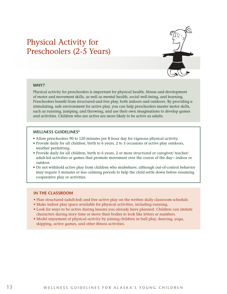### <span id="page-15-0"></span>Physical Activity for Preschoolers (2-5 Years)



#### **WHY?**

Physical activity for preschoolers is important for physical health, fitness and development of motor and movement skills, as well as mental health, social well-being, and learning. Preschoolers benefit from structured and free play, both indoors and outdoors. By providing a stimulating, safe environment for active play, you can help preschoolers master motor skills, such as running, jumping, and throwing, and use their own imaginations to develop games and activities. Children who are active are more likely to be active as adults.

#### **WELLNESS GUIDELINES\***

- Allow preschoolers 90 to 120 minutes per 8-hour day for vigorous physical activity.
- Provide daily for all children, birth to 6 years, 2 to 3 occasions of active play outdoors, weather permitting.
- Provide daily for all children, birth to 6 years, 2 or more structured or caregiver/ teacher/ adult-led activities or games that promote movement over the course of the day—indoor or outdoor.
- Do not withhold active play from children who misbehave, although out-of-control behavior may require 5 minutes or less calming periods to help the child settle down before resuming cooperative play or activities.

#### **IN THE CLASSROOM**

- Plan structured (adult-led) and free active play on the written daily classroom schedule.
- Make indoor play space available for physical activities, including running.
- Look for ways to be active during lessons you already have planned. Children can imitate characters during story time or move their bodies to look like letters or numbers.
- Model enjoyment of physical activity by joining children in ball play, dancing, yoga, skipping, active games, and other fitness activities.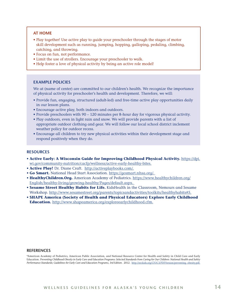#### **AT HOME**

- Play together! Use active play to guide your preschooler through the stages of motor skill development such as running, jumping, hopping, galloping, pedaling, climbing, catching, and throwing.
- Focus on fun, not performance.
- Limit the use of strollers. Encourage your preschooler to walk.
- Help foster a love of physical activity by being an active role model!

#### **EXAMPLE POLICIES**

We at (name of center) are committed to our children's health. We recognize the importance of physical activity for preschooler's health and development. Therefore, we will:

- Provide fun, engaging, structured (adult-led) and free-time active play opportunities daily in our lesson plans.
- Encourage active play, both indoors and outdoors.
- Provide preschoolers with 90 120 minutes per 8-hour day for vigorous physical activity.
- Play outdoors, even in light rain and snow. We will provide parents with a list of appropriate outdoor clothing and gear. We will follow our local school district inclement weather policy for outdoor recess.
- Encourage all children to try new physical activities within their development stage and respond positively when they do.

#### **RESOURCES**

- **Active Early: A Wisconsin Guide for Improving Childhood Physical Activity.** https://dpi. wi.gov/community-nutrition/cacfp/wellness/active-early-healthy-bites.
- **Active Play!** Dr. Diane Craft. http://activeplaybooks.com/.
- **Go Smart.** National Head Start Association. https://gosmart.nhsa.org/.
- **HealthyChildren.Org.** American Academy of Pediatrics. https://www.healthychildren.org/ English/healthy-living/growing-healthy/Pages/default.aspx.
- **Sesame Street Healthy Habits for Life.** KidsHealth in the Classroom, Nemours and Sesame Workshop. http://www.sesamestreet.org/parents/topicsandactivities/toolkits/healthyhabits#5.
- **SHAPE America (Society of Health and Physical Educators) Explore Early Childhood Education.** http://www.shapeamerica.org/exploreearlychildhood.cfm.

#### **REFERENCES**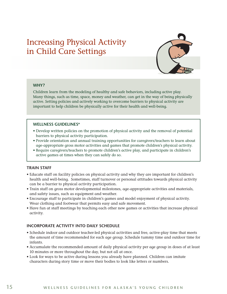### <span id="page-17-0"></span>Increasing Physical Activity in Child Care Settings



#### **WHY?**

Children learn from the modeling of healthy and safe behaviors, including active play. Many things, such as time, space, money and weather, can get in the way of being physically active. Setting policies and actively working to overcome barriers to physical activity are important to help children be physically active for their health and well-being.

#### **WELLNESS GUIDELINES\***

- Develop written policies on the promotion of physical activity and the removal of potential barriers to physical activity participation.
- Provide orientation and annual training opportunities for caregivers/teachers to learn about age-appropriate gross motor activities and games that promote children's physical activity.
- Require caregivers/teachers to promote children's active play, and participate in children's active games at times when they can safely do so.

#### **TRAIN STAFF**

- Educate staff on facility policies on physical activity and why they are important for children's health and well-being. Sometimes, staff turnover or personal attitudes towards physical activity can be a barrier to physical activity participation.
- Train staff on gross motor developmental milestones, age-appropriate activities and materials, and safety issues, such as equipment and weather.
- Encourage staff to participate in children's games and model enjoyment of physical activity. Wear clothing and footwear that permits easy and safe movement.
- Have fun at staff meetings by teaching each other new games or activities that increase physical activity.

#### **INCORPORATE ACTIVITY INTO DAILY SCHEDULE**

- Schedule indoor and outdoor teacher-led physical activities and free, active-play time that meets the amount of time recommended for each age group. Schedule tummy time and outdoor time for infants.
- Accumulate the recommended amount of daily physical activity per age group in doses of at least 10 minutes or more throughout the day, but not all at once.
- Look for ways to be active during lessons you already have planned. Children can imitate characters during story time or move their bodies to look like letters or numbers.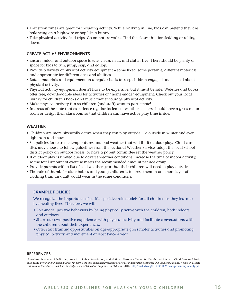- Transition times are great for including activity. While walking in line, kids can pretend they are balancing on a high-wire or hop like a bunny.
- Take physical activity field trips. Go on nature walks. Find the closest hill for sledding or rolling down.

#### **CREATE ACTIVE ENVIRONMENTS**

- Ensure indoor and outdoor space is safe, clean, neat, and clutter free. There should be plenty of space for kids to run, jump, skip, and gallop.
- Provide a variety of physical activity equipment some fixed, some portable, different materials, and appropriate for different ages and abilities.
- Rotate materials and equipment on a regular basis to keep children engaged and excited about physical activity.
- Physical activity equipment doesn't have to be expensive, but it must be safe. Websites and books offer free, downloadable ideas for activities or "home-made" equipment. Check out your local library for children's books and music that encourage physical activity.
- Make physical activity fun so children (and staff) want to participate!
- In areas of the state that experience regular inclement weather, centers should have a gross motor room or design their classroom so that children can have active play time inside.

#### **WEATHER**

- Children are more physically active when they can play outside. Go outside in winter and even light rain and snow.
- Set policies for extreme temperatures and bad weather that will limit outdoor play. Child care sites may choose to follow guidelines from the National Weather Service, adopt the local school district policy on outdoor recess, or have a parent committee set the weather policy.
- If outdoor play is limited due to adverse weather conditions, increase the time of indoor activity, so the total amount of exercise meets the recommended amount per age group.
- Provide parents with a list of cold weather gear that their children will need to play outside.
- The rule of thumb for older babies and young children is to dress them in one more layer of clothing than an adult would wear in the same conditions.

#### **EXAMPLE POLICIES**

We recognize the importance of staff as positive role models for all children as they learn to live healthy lives. Therefore, we will:

- Role-model positive behaviors by being physically active with the children, both indoors and outdoors.
- Share our own positive experiences with physical activity and facilitate conversations with the children about their experiences.
- Offer staff training opportunities on age-appropriate gross motor activities and promoting physical activity and movement at least twice a year.

#### **REFERENCES**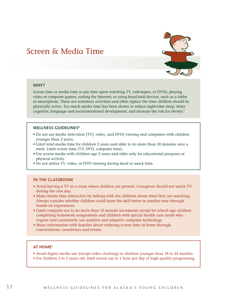### <span id="page-19-0"></span>Screen & Media Time



#### **WHY?**

Screen time or media time is any time spent watching TV, videotapes, or DVDs; playing video or computer games; surfing the Internet; or using hand-held devices, such as a tablet or smartphone. These are sedentary activities and often replace the time children should be physically active. Too much media time has been shown to reduce night-time sleep, delay cognitive, language and social/emotional development, and increase the risk for obesity.<sup>1</sup>

#### **WELLNESS GUIDELINES\***

- Do not use media (television [TV], video, and DVD) viewing and computers with children younger than 2 years.
- Limit total media time for children 2 years and older to no more than 30 minutes once a week. Limit screen time (TV, DVD, computer time).
- Use screen media with children age 2 years and older only for educational purposes or physical activity.
- Do not utilize TV, video, or DVD viewing during meal or snack time.

#### **IN THE CLASSROOM**

- Avoid having a TV in a room where children are present. Caregivers should not watch TV during the care day.
- Make media time interactive by talking with the children about what they are watching. Always consider whether children could learn the skill better in another way through hands-on experiences.
- Limit computer use to no more than 15-minute increments except for school-age children completing homework assignments and children with special health care needs who require and consistently use assistive and adaptive computer technology.
- Share information with families about reducing screen time at home through conversations, newsletters and events.

#### **AT HOME1**

- Avoid digital media use (except video-chatting) in children younger than 18 to 24 months.
- For children 2 to 5 years old, limit screen use to 1 hour per day of high-quality programing,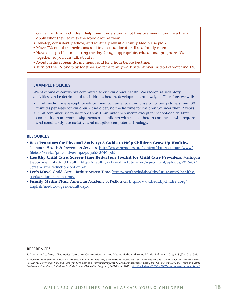co-view with your children, help them understand what they are seeing, and help them apply what they learn to the world around them.

- Develop, consistently follow, and routinely revisit a Family Media Use plan.
- Move TVs out of the bedrooms and to a central location like a family room.
- Have one specific time during the day for age-appropriate, educational programs. Watch together, so you can talk about it.
- Avoid media screens during meals and for 1 hour before bedtime.
- Turn off the TV and play together! Go for a family walk after dinner instead of watching TV.

#### **EXAMPLE POLICIES**

We at (name of center) are committed to our children's health. We recognize sedentary activities can be detrimental to children's health, development, and weight. Therefore, we will:

- Limit media time (except for educational computer use and physical activity) to less than 30 minutes per week for children 2 and older; no media time for children younger than 2 years.
- Limit computer use to no more than 15-minute increments except for school-age children completing homework assignments and children with special health care needs who require and consistently use assistive and adaptive computer technology.

#### **RESOURCES**

- **Best Practices for Physical Activity: A Guide to Help Children Grow Up Healthy.** Nemours Health & Prevention Services. http://www.nemours.org/content/dam/nemours/www/ filebox/service/preventive/nhps/paguide2010.pdf.
- **Healthy Child Care: Screen-Time Reduction Toolkit for Child Care Providers.** Michigan Department of Child Health. https://healthykidshealthyfuture.org/wp-content/uploads/2015/04/ Screen-TimeReductionToolkit.pdf.
- **Let's Move!** Child Care Reduce Screen Time. https://healthykidshealthyfuture.org/5-healthygoals/reduce-screen-time/.
- **Family Media Plan.** American Academy of Pediatrics. https://www.healthychildren.org/ English/media/Pages/default.aspx.

#### **REFERENCES**

1. American Academy of Pediatrics Council on Communications and Media. Media and Young Minds. Pediatrics 2016; 138 (5):e20162591.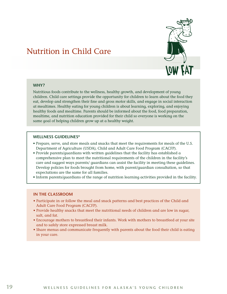

### <span id="page-21-0"></span>Nutrition in Child Care

#### **WHY?**

Nutritious foods contribute to the wellness, healthy growth, and development of young children. Child care settings provide the opportunity for children to learn about the food they eat, develop and strengthen their fine and gross motor skills, and engage in social interaction at mealtimes. Healthy eating for young children is about learning, exploring, and enjoying healthy foods and mealtime. Parents should be informed about the food, food preparation, mealtime, and nutrition education provided for their child so everyone is working on the same goal of helping children grow up at a healthy weight.

#### **WELLNESS GUIDELINES\***

- Prepare, serve, and store meals and snacks that meet the requirements for meals of the U.S. Department of Agriculture (USDA), Child and Adult Care Food Program (CACFP).
- Provide parents/guardians with written guidelines that the facility has established a comprehensive plan to meet the nutritional requirements of the children in the facility's care and suggest ways parents/ guardians can assist the facility in meeting these guidelines. Develop policies for foods brought from home, with parent/guardian consultation, so that expectations are the same for all families.
- Inform parents/guardians of the range of nutrition learning activities provided in the facility.

#### **IN THE CLASSROOM**

- Participate in or follow the meal and snack patterns and best practices of the Child and Adult Care Food Program (CACFP).
- Provide healthy snacks that meet the nutritional needs of children and are low in sugar, salt, and fat.
- Encourage mothers to breastfeed their infants. Work with mothers to breastfeed at your site and to safely store expressed breast milk.
- Share menus and communicate frequently with parents about the food their child is eating in your care.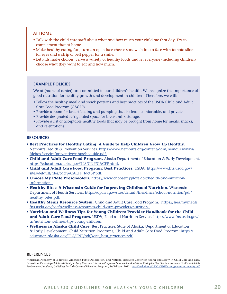#### **AT HOME**

- Talk with the child care staff about what and how much your child ate that day. Try to complement that at home.
- Make healthy eating fun; turn an open face cheese sandwich into a face with tomato slices for eyes and a strip of bell pepper for a smile.
- Let kids make choices. Serve a variety of healthy foods and let everyone (including children) choose what they want to eat and how much.

#### **EXAMPLE POLICIES**

We at (name of center) are committed to our children's health. We recognize the importance of good nutrition for healthy growth and development in children. Therefore, we will:

- Follow the healthy meal and snack patterns and best practices of the USDA Child and Adult Care Food Program (CACFP).
- Provide a room for breastfeeding and pumping that is clean, comfortable, and private.
- Provide designated refrigerated space for breast milk storage.
- Provide a list of acceptable healthy foods that may be brought from home for meals, snacks, and celebrations.

#### **RESOURCES**

- **Best Practices for Healthy Eating: A Guide to Help Children Grow Up Healthy.** Nemours Health & Prevention Services. https://www.nemours.org/content/dam/nemours/www/ filebox/service/preventive/nhps/heguide.pdf.
- **Child and Adult Care Food Program.** Alaska Department of Education & Early Development. https://education.alaska.gov/TLS/CNP/CACFP.html.
- **Child and Adult Care Food Program: Best Practices.** USDA. https://www.fns.usda.gov/ sites/default/files/cacfp/CACFP\_factBP.pdf.
- **Choose My Plate Preschoolers.** https://www.choosemyplate.gov/health-and-nutritioninformation.
- **Healthy Bites: A Wisconsin Guide for Improving Childhood Nutrition.** Wisconsin Department of Health Services. https://dpi.wi.gov/sites/default/files/imce/school-nutrition/pdf/ healthy bites.pdf.
- **Healthy Meals Resource System.** Child and Adult Care Food Program. https://healthymeals. fns.usda.gov/cacfp-wellness-resources-child-care-providers/nutrition.
- **Nutrition and Wellness Tips for Young Children: Provider Handbook for the Child and Adult Care Food Program.** USDA, Food and Nutrition Service. https://www.fns.usda.gov/ tn/nutrition-wellness-tips-young-children.
- **Wellness in Alaska Child Care.** Best Practices. State of Alaska, Department of Education & Early Development, Child Nutrition Programs, Child and Adult Care Food Program: https:// education.alaska.gov/TLS/CNP/pdf/wicc\_best\_practices.pdf.

#### **REFERENCES**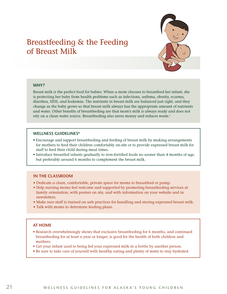### <span id="page-23-0"></span>Breastfeeding & the Feeding of Breast Milk



#### **WHY?**

Breast milk is the perfect food for babies. When a mom chooses to breastfeed her infant, she is protecting her baby from health problems such as infections, asthma, obesity, eczema, diarrhea, SIDS, and leukemia. The nutrients in breast milk are balanced just right, and they change as the baby grows so that breast milk always has the appropriate amount of nutrients and water. Other benefits of breastfeeding are that mom's milk is always ready and does not rely on a clean water source. Breastfeeding also saves money and reduces waste.<sup>1</sup>

#### **WELLNESS GUIDELINES\***

- Encourage and support breastfeeding and feeding of breast milk by making arrangements for mothers to feed their children comfortably on-site or to provide expressed breast milk for staff to feed their child during meal times.
- Introduce breastfed infants gradually to iron-fortified foods no sooner than 4 months of age, but preferably around 6 months to complement the breast milk.

#### **IN THE CLASSROOM**

- Dedicate a clean, comfortable, private space for moms to breastfeed or pump.
- Help nursing moms feel welcome and supported by promoting breastfeeding services at family orientation, with posters on site, and with information on your website and in newsletters.
- Make sure staff is trained on safe practices for handling and storing expressed breast milk.
- Talk with moms to determine feeding plans.

#### **AT HOME**

- Research overwhelmingly shows that exclusive breastfeeding for 6 months, and continued breastfeeding for at least a year or longer, is good for the health of both children and mothers.
- Get your infant used to being fed your expressed milk in a bottle by another person.
- Be sure to take care of yourself with healthy eating and plenty of water to stay hydrated.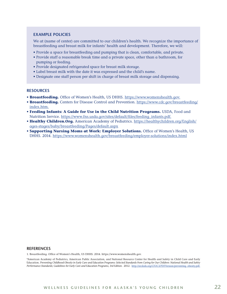#### **EXAMPLE POLICIES**

We at (name of center) are committed to our children's health. We recognize the importance of breastfeeding and breast milk for infants' health and development. Therefore, we will:

- Provide a space for breastfeeding and pumping that is clean, comfortable, and private.
- Provide staff a reasonable break time and a private space, other than a bathroom, for pumping or feeding.
- Provide designated refrigerated space for breast milk storage.
- Label breast milk with the date it was expressed and the child's name.
- Designate one staff person per shift in charge of breast milk storage and dispensing.

#### **RESOURCES**

- **Breastfeeding.** Office of Women's Health, US DHHS. https://www.womenshealth.gov.
- **Breastfeeding.** Centers for Disease Control and Prevention. https://www.cdc.gov/breastfeeding/ index.htm.
- **Feeding Infants: A Guide for Use in the Child Nutrition Programs.** USDA, Food and Nutrition Service. https://www.fns.usda.gov/sites/default/files/feeding\_infants.pdf.
- **Healthy Children.Org.** American Academy of Pediatrics. https://healthychildren.org/English/ ages-stages/baby/breastfeeding/Pages/default.aspx
- **Supporting Nursing Moms at Work: Employer Solutions.** Office of Women's Health, US DHHS. 2014. https://www.womenshealth.gov/breastfeeding/employer-solutions/index.html

#### **REFERENCES**

1. Breastfeeding. Office of Women's Health, US DHHS. 2014. https://www.womenshealth.gov.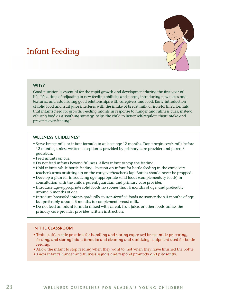### <span id="page-25-0"></span>Infant Feeding

#### **WHY?**

Good nutrition is essential for the rapid growth and development during the first year of life. It's a time of adjusting to new feeding abilities and stages, introducing new tastes and textures, and establishing good relationships with caregivers and food. Early introduction of solid food and fruit juice interferes with the intake of breast milk or iron-fortified formula that infants need for growth. Feeding infants in response to hunger and fullness cues, instead of using food as a soothing strategy, helps the child to better self-regulate their intake and prevents over-feeding.<sup>1</sup>

#### **WELLNESS GUIDELINES\***

- Serve breast milk or infant formula to at least age 12 months. Don't begin cow's milk before 12 months, unless written exception is provided by primary care provider and parent/ guardian.
- Feed infants on cue.
- Do not feed infants beyond fullness. Allow infant to stop the feeding.
- Hold infants while bottle feeding. Position an infant for bottle feeding in the caregiver/ teacher's arms or sitting up on the caregiver/teacher's lap. Bottles should never be propped.
- Develop a plan for introducing age-appropriate solid foods (complementary foods) in consultation with the child's parent/guardian and primary care provider.
- Introduce age-appropriate solid foods no sooner than 4 months of age, and preferably around 6 months of age.
- Introduce breastfed infants gradually to iron-fortified foods no sooner than 4 months of age, but preferably around 6 months to complement breast milk.
- Do not feed an infant formula mixed with cereal, fruit juice, or other foods unless the primary care provider provides written instruction.

#### **IN THE CLASSROOM**

- Train staff on safe practices for handling and storing expressed breast milk; preparing, feeding, and storing infant formula; and cleaning and sanitizing equipment used for bottle feeding.
- Allow the infant to stop feeding when they want to, not when they have finished the bottle.
- Know infant's hunger and fullness signals and respond promptly and pleasantly.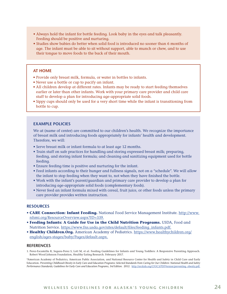- Always hold the infant for bottle feeding. Look baby in the eyes and talk pleasantly. Feeding should be positive and nurturing.
- Studies show babies do better when solid food is introduced no sooner than 6 months of age. The infant must be able to sit without support, able to munch or chew, and to use their tongue to move foods to the back of their mouth.

#### **AT HOME**

- Provide only breast milk, formula, or water in bottles to infants.
- Never use a bottle or cup to pacify an infant.
- All children develop at different rates. Infants may be ready to start feeding themselves earlier or later than other infants. Work with your primary care provider and child care staff to develop a plan for introducing age-appropriate solid foods.
- Sippy cups should only be used for a very short time while the infant is transitioning from bottle to cup.

#### **EXAMPLE POLICIES**

We at (name of center) are committed to our children's health. We recognize the importance of breast milk and introducing foods appropriately for infants' health and development. Therefore, we will:

- Serve breast milk or infant formula to at least age 12 months.
- Train staff on safe practices for handling and storing expressed breast milk; preparing, feeding, and storing infant formula; and cleaning and sanitizing equipment used for bottle feeding.
- Ensure feeding time is positive and nurturing for the infant.
- Feed infants according to their hunger and fullness signals, not on a "schedule". We will allow the infant to stop feeding when they want to, not when they have finished the bottle.
- Work with the infant's parent/guardian and primary care provider to develop a plan for introducing age-appropriate solid foods (complementary foods).
- Never feed an infant formula mixed with cereal, fruit juice, or other foods unless the primary care provider provides written instruction.

#### **RESOURCES**

- **CARE Connection: Infant Feeding.** National Food Service Management Institute. http://www. nfsmi.org/ResourceOverview.aspx?ID=339.
- **Feeding Infants: A Guide for Use in the Child Nutrition Programs.** USDA, Food and Nutrition Service. https://www.fns.usda.gov/sites/default/files/feeding\_infants.pdf.
- **Healthy Children.Org.** American Academy of Pediatrics. https://www.healthychildren.org/ english/ages-stages/baby/Pages/default.aspx.

#### **REFERENCES**

1. Perez-Escamilla R, Segura-Perez S, Lott M, et al. Feeding Guidelines for Infants and Young Toddlers: A Responsive Parenting Approach. Robert Wood Johnson Foundation, Healthy Eating Research. February 2017.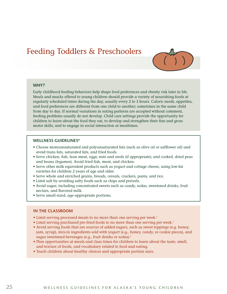### <span id="page-27-0"></span>Feeding Toddlers & Preschoolers



#### **WHY?**

Early childhood feeding behaviors help shape food preferences and obesity risk later in life. Meals and snacks offered to young children should provide a variety of nourishing foods at regularly scheduled times during the day, usually every 2 to 3 hours. Caloric needs, appetites, and food preferences are different from one child to another; sometimes in the same child from day to day. If normal variations in eating patterns are accepted without comment, feeding problems usually do not develop. Child care settings provide the opportunity for children to learn about the food they eat, to develop and strengthen their fine and gross motor skills, and to engage in social interaction at mealtimes.

#### **WELLNESS GUIDELINES\***

- Choose monounsaturated and polyunsaturated fats (such as olive oil or safflower oil) and avoid trans fats, saturated fats, and fried foods.
- Serve chicken, fish, lean meat, eggs; nuts and seeds (if appropriate); and cooked, dried peas and beans (legumes). Avoid fried fish, meat, and chicken.
- Serve other milk equivalent products such as yogurt and cottage cheese, using low-fat varieties for children 2 years of age and older.
- Serve whole and enriched grains, breads, cereals, crackers, pasta, and rice.
- Limit salt by avoiding salty foods such as chips and pretzels.
- Avoid sugar, including concentrated sweets such as candy, sodas, sweetened drinks, fruit nectars, and flavored milk.
- Serve small-sized, age-appropriate portions.

#### **IN THE CLASSROOM**

- Limit serving processed meats to no more than one serving per week.<sup>1</sup>
- Limit serving purchased pre-fried foods to no more than one serving per week.<sup>1</sup>
- Avoid serving foods that are sources of added sugars, such as sweet toppings (e.g. honey, jam, syrup), mix-in ingredients sold with yogurt (e.g., honey, candy, or cookie pieces), and sugar sweetened beverages (e.g., fruit drinks or sodas).<sup>1</sup>
- Plan opportunities at meals and class times for children to learn about the taste, smell, and texture of foods, and vocabulary related to food and eating.
- Teach children about healthy choices and appropriate portion sizes.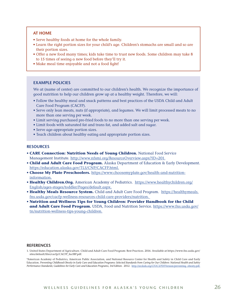#### **AT HOME**

- Serve healthy foods at home for the whole family.
- Learn the right portion sizes for your child's age. Children's stomachs are small and so are their portion sizes.
- Offer a new food many times; kids take time to trust new foods. Some children may take 8 to 15 times of seeing a new food before they'll try it.
- Make meal time enjoyable and not a food fight!

#### **EXAMPLE POLICIES**

We at (name of center) are committed to our children's health. We recognize the importance of good nutrition to help our children grow up at a healthy weight. Therefore, we will:

- Follow the healthy meal and snack patterns and best practices of the USDA Child and Adult Care Food Program (CACFP).
- Serve only lean meats, nuts (if appropriate), and legumes. We will limit processed meats to no more than one serving per week.
- Limit serving purchased pre-fried foods to no more than one serving per week.
- Limit foods with saturated fat and trans fat, and added salt and sugar.
- Serve age-appropriate portion sizes.
- Teach children about healthy eating and appropriate portion sizes.

#### **RESOURCES**

- **CARE Connection: Nutrition Needs of Young Children.** National Food Service Management Institute. http://www.nfsmi.org/ResourceOverview.aspx?ID=201.
- **Child and Adult Care Food Program.** Alaska Department of Education & Early Development. https://education.alaska.gov/TLS/CNP/CACFP.html.
- **Choose My Plate Preschoolers.** https://www.choosemyplate.gov/health-and-nutritioninformation.
- **Healthy Children.Org.** American Academy of Pediatrics. https://www.healthychildren.org/ English/ages-stages/toddler/Pages/default.aspx.
- **Healthy Meals Resource System.** Child and Adult Care Food Program. https://healthymeals. fns.usda.gov/cacfp-wellness-resources-child-care-providers/nutrition.
- **Nutrition and Wellness Tips for Young Children: Provider Handbook for the Child and Adult Care Food Program.** USDA, Food and Nutrition Service. https://www.fns.usda.gov/ tn/nutrition-wellness-tips-young-children.

#### **REFERENCES**

1. United States Department of Agriculture. Child and Adult Care Food Program: Best Practices. 2016. Available at https://www.fns.usda.gov/ sites/default/files/cacfp/CACFP\_factBP.pdf.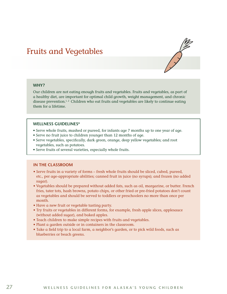### <span id="page-29-0"></span>Fruits and Vegetables



Our children are not eating enough fruits and vegetables. Fruits and vegetables, as part of a healthy diet, are important for optimal child growth, weight management, and chronic disease prevention.<sup>1, 2</sup> Children who eat fruits and vegetables are likely to continue eating them for a lifetime.

#### **WELLNESS GUIDELINES\***

- Serve whole fruits, mashed or pureed, for infants age 7 months up to one year of age.
- Serve no fruit juice to children younger than 12 months of age.
- Serve vegetables, specifically, dark green, orange, deep yellow vegetables; and root vegetables, such as potatoes.
- Serve fruits of several varieties, especially whole fruits.

#### **IN THE CLASSROOM**

- Serve fruits in a variety of forms fresh whole fruits should be sliced, cubed, pureed, etc., per age-appropriate abilities; canned fruit in juice (no syrups); and frozen (no added sugar).
- Vegetables should be prepared without added fats, such as oil, margarine, or butter. French fries, tater tots, hash browns, potato chips, or other fried or pre-fried potatoes don't count as vegetables and should be served to toddlers or preschoolers no more than once per month.
- Have a new fruit or vegetable tasting party.
- Try fruits or vegetables in different forms, for example, fresh apple slices, applesauce (without added sugar), and baked apples.
- Teach children to make simple recipes with fruits and vegetables.
- Plant a garden outside or in containers in the classroom.
- Take a field trip to a local farm, a neighbor's garden, or to pick wild foods, such as blueberries or beach greens.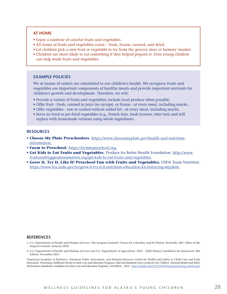#### **AT HOME**

- Enjoy a rainbow of colorful fruits and vegetables.
- All forms of fruits and vegetables count fresh, frozen, canned, and dried.
- Let children pick a new fruit or vegetable to try from the grocery store or farmers' market.
- Children are more likely to eat something if they helped prepare it. Even young children can help wash fruits and vegetables.

#### **EXAMPLE POLICIES**

We at (name of center) are committed to our children's health. We recognize fruits and vegetables are important components of healthy meals and provide important nutrients for children's growth and development. Therefore, we will:

- Provide a variety of fruits and vegetables; include local produce when possible.
- Offer fruit fresh, canned in juice (no syrups), or frozen at every meal, including snacks.
- Offer vegetables raw or cooked without added fat at every meal, including snacks.
- Serve no fried or pre-fried vegetables (e.g., French fries, hash browns, tater tots) and will replace with homemade versions using whole ingredients.

#### **RESOURCES**

- **Choose My Plate Preschoolers.** https://www.choosemyplate.gov/health-and-nutritioninformation.
- **Farm to Preschool.** https://farmtopreschool.org.
- **Get Kids to Eat Fruits and Vegetables.** Produce for Better Health Foundation. http://www. fruitsandveggiesmorematters.org/get-kids-to-eat-fruits-and-vegetables.
- **Grow It, Try It, Like It! Preschool Fun with Fruits and Vegetables.** USDA Team Nutrition. https://www.fns.usda.gov/tn/grow-it-try-it-it-nutrition-education-kit-featuring-myplate.

#### **REFERENCES**

- 1. U.S. Department of Health and Human Services. The Surgeon General's Vision for a Healthy and Fit Nation. Rockville, MD: Office of the Surgeon General. January 2010.
- 2. U.S. Department of Health and Human Services and U.S. Department of Agriculture. 2015 2020 Dietary Guidelines for Americans. 8th Edition. December 2015.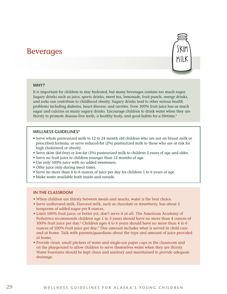### <span id="page-31-0"></span>Beverages



#### **WHY?**

It is important for children to stay hydrated, but many beverages contain too much sugar. Sugary drinks such as juice, sports drinks, sweet tea, lemonade, fruit punch, energy drinks, and soda can contribute to childhood obesity. Sugary drinks lead to other serious health problems including diabetes, heart disease, and cavities. Even 100% fruit juice has as much sugar and calories as many sugary drinks. Encourage children to drink water when they are thirsty to promote disease-free teeth, a healthy body, and good habits for a lifetime.<sup>1</sup>

#### **WELLNESS GUIDELINES\***

- Serve whole pasteurized milk to 12 to 24 month old children who are not on breast milk or prescribed formula, or serve reduced-fat (2%) pasteurized milk to those who are at risk for high cholesterol or obesity.
- Serve skim (fat-free) or low-fat (1%) pasteurized milk to children 2 years of age and older.
- Serve no fruit juice to children younger than 12 months of age.
- Use only 100% juice with no added sweeteners.
- Offer juice only during meal times.
- Serve no more than 4 to 6 ounces of juice per day for children 1 to 6 years of age.
- Make water available both inside and outside.

#### **IN THE CLASSROOM**

- When children are thirsty between meals and snacks, water is the best choice.
- Serve unflavored milk. Flavored milk, such as chocolate or strawberry, has about 3 teaspoons of added sugar per 8 ounces.
- Limit 100% fruit juice, or better yet, don't serve it at all. The American Academy of Pediatrics recommends children age 1 to 3 years should have no more than 4 ounces of 100% fruit juice per day.2 Children ages 4 to 6 years should have no more than 4 to 6 ounces of 100% fruit juice per day.2 This amount includes what is served in child care and at home. Talk with parents/guardians about the type and amount of juice provided at home.
- Provide clean, small pitchers of water and single-use paper cups in the classroom and on the playground to allow children to serve themselves water when they are thirsty. Water fountains should be kept clean and sanitary and maintained to provide adequate drainage.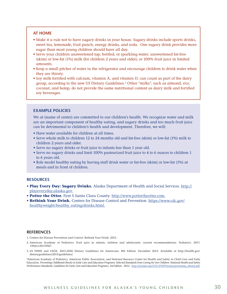#### **AT HOME**

- Make it a rule not to have sugary drinks in your house. Sugary drinks include sports drinks, sweet tea, lemonade, fruit punch, energy drinks, and soda. One sugary drink provides more sugar than most young children should have all day.
- Serve your children unsweetened tap, bottled, or sparkling water; unsweetened fat-free (skim) or low-fat (1%) milk (for children 2 years and older); or 100% fruit juice in limited amounts.
- Keep a small pitcher of water in the refrigerator and encourage children to drink water when they are thirsty.
- Soy milk fortified with calcium, vitamin A, and vitamin D, can count as part of the dairy group, according to the new US Dietary Guidelines.3 Other "milks", such as almond, rice, coconut, and hemp, do not provide the same nutritional content as dairy milk and fortified soy beverages.

#### **EXAMPLE POLICIES**

We at (name of center) are committed to our children's health. We recognize water and milk are an important component of healthy eating, and sugary drinks and too much fruit juice can be detrimental to children's health and development. Therefore, we will:

- Have water available for children at all times.
- Serve whole milk to children 12 to 24 months old and fat-free (skim) or low-fat (1%) milk to children 2 years and older.
- Serve no sugary drinks or fruit juice to infants less than 1 year old.
- Serve no sugary drinks and limit 100% pasteurized fruit juice to 4 to 6 ounces to children 1 to 6 years old.
- Role model healthy eating by having staff drink water or fat-free (skim) or low-fat (1%) at meals and in front of children.

#### **RESOURCES**

- **Play Every Day: Sugary Drinks.** Alaska Department of Health and Social Services. http:// playeveryday.alaska.gov.
- **Potter the Otter.** First 5 Santa Clara County. http://www.pottertheotter.com.
- **Rethink Your Drink.** Centers for Disease Control and Prevention. https://www.cdc.gov/ healthyweight/healthy\_eating/drinks.html.

#### **REFERENCES**

1. Centers for Disease Prevention and Control. Rethink Your Drink. 2015.

- 2. American Academy of Pediatrics. Fruit juice in infants, children and adolescents: current recommendations. Pediatrics. 2017; 139(6):e20170967.
- 3. US DHHS and USDA. 2015-2020 Dietary Guidelines for Americans. 8th Edition. December 2015. Available at http://health.gov/ dietaryguidelines/2015/guidelines/.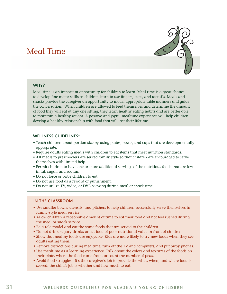### <span id="page-33-0"></span>Meal Time



#### **WHY?**

Meal time is an important opportunity for children to learn. Meal time is a great chance to develop fine motor skills as children learn to use fingers, cups, and utensils. Meals and snacks provide the caregiver an opportunity to model appropriate table manners and guide the conversation. When children are allowed to feed themselves and determine the amount of food they will eat at any one sitting, they learn healthy eating habits and are better able to maintain a healthy weight. A positive and joyful mealtime experience will help children develop a healthy relationship with food that will last their lifetime.

#### **WELLNESS GUIDELINES\***

- Teach children about portion size by using plates, bowls, and cups that are developmentally appropriate.
- Require adults eating meals with children to eat items that meet nutrition standards.
- All meals to preschoolers are served family style so that children are encouraged to serve themselves with limited help.
- Permit children to have one or more additional servings of the nutritious foods that are low in fat, sugar, and sodium.
- Do not force or bribe children to eat.
- Do not use food as a reward or punishment.
- Do not utilize TV, video, or DVD viewing during meal or snack time.

#### **IN THE CLASSROOM**

- Use smaller bowls, utensils, and pitchers to help children successfully serve themselves in family-style meal service.
- Allow children a reasonable amount of time to eat their food and not feel rushed during the meal or snack service.
- Be a role model and eat the same foods that are served to the children.
- Do not drink sugary drinks or eat food of poor nutritional value in front of children.
- Show that healthy foods are enjoyable. Kids are more likely to try new foods when they see adults eating them.
- Remove distractions during mealtime, turn off the TV and computers, and put away phones.
- Use mealtime as a learning experience. Talk about the colors and textures of the foods on their plate, where the food came from, or count the number of peas.
- Avoid food struggles. It's the caregiver's job to provide the what, when, and where food is served; the child's job is whether and how much to eat.<sup>1</sup>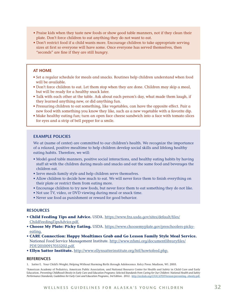- Praise kids when they taste new foods or show good table manners, not if they clean their plate. Don't force children to eat anything they do not want to eat.
- Don't restrict food if a child wants more. Encourage children to take appropriate serving sizes at first so everyone will have some. Once everyone has served themselves, then "seconds" are fine if they are still hungry.

#### **AT HOME**

- Set a regular schedule for meals and snacks. Routines help children understand when food will be available.
- Don't force children to eat. Let them stop when they are done. Children may skip a meal, but will be ready for a healthy snack later.
- Talk with each other at the table. Ask about each person's day, what made them laugh, if they learned anything new, or did anything fun.
- Pressuring children to eat something, like vegetables, can have the opposite effect. Pair a new food with something you know they like, such as a new vegetable with a favorite dip.
- Make healthy eating fun; turn an open face cheese sandwich into a face with tomato slices for eyes and a strip of bell pepper for a smile.

#### **EXAMPLE POLICIES**

We at (name of center) are committed to our children's health. We recognize the importance of a relaxed, positive mealtime to help children develop social skills and lifelong healthy eating habits. Therefore, we will:

- Model good table manners, positive social interactions, and healthy eating habits by having staff sit with the children during meals and snacks and eat the same food and beverages the children eat.
- Serve meals family style and help children serve themselves.
- Allow children to decide how much to eat. We will never force them to finish everything on their plate or restrict them from eating more.
- Encourage children to try new foods, but never force them to eat something they do not like.
- Not use TV, video, or DVD viewing during meal or snack time.
- Never use food as punishment or reward for good behavior.

#### **RESOURCES**

- **Child Feeding Tips and Advice.** USDA. https://www.fns.usda.gov/sites/default/files/ ChildFeedingTipsAdvice.pdf.
- **Choose My Plate: Picky Eating.** USDA. https://www.choosemyplate.gov/preschoolers-pickyeating.
- **CARE Connection: Happy Mealtimes Grab and Go Lesson Family Style Meal Service.** National Food Service Management Institute. http://www.nfsmi.org/documentlibraryfiles/ PDF/20100917033202.pdf.
- **Ellyn Satter Institute.** http://www.ellynsatterinstitute.org/htf/howtofeed.php.

#### **REFERENCES**

1. Satter E. Your Child's Weight; Helping Without Harming Birth through Adolescence. Kelcy Press: Madison, WI. 2005.

<sup>\*</sup>American Academy of Pediatrics, American Public Association, and National Resource Center for Health and Safety in Child Care and Early Education. *Preventing Childhood Obesity in Early Care and Education Programs: Selected Standards from Caring for Our Children: National Health and Safety*  Performance Standards; Guidelines for Early Care and Education Programs, 3rd Edition. 2012. http://nrckids.org/CFOC3/PDFVersion/preventing\_obesity.pdf.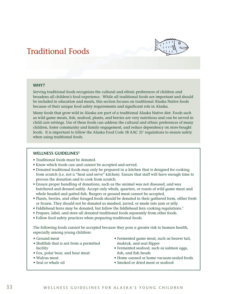### <span id="page-35-0"></span>Traditional Foods



#### **WHY?**

Serving traditional foods recognizes the cultural and ethnic preferences of children and broadens all children's food experience. While all traditional foods are important and should be included in education and meals, this section focuses on traditional Alaska Native foods because of their unique food safety requirements and significant role in Alaska.

Many foods that grow wild in Alaska are part of a traditional Alaska Native diet. Foods such as wild game meats, fish, seafood, plants, and berries are very nutritious and can be served in child care settings. Use of these foods can address the cultural and ethnic preferences of many children, foster community and family engagement, and reduce dependency on store-bought foods. It is important to follow the Alaska Food Code 18 AAC 31<sup>1</sup> regulations to ensure safety when using traditional foods.

#### **WELLNESS GUIDELINES2**

- Traditional foods must be donated.
- Know which foods can and cannot be accepted and served.
- Donated traditional foods may only be prepared in a kitchen that is designed for cooking from scratch (i.e. not a "heat and serve" kitchen). Ensure that staff will have enough time to process the donation and to cook from scratch.
- Ensure proper handling of donations, such as the animal was not diseased, and was butchered and dressed safely. Accept only whole, quarters, or roasts of wild game meat and whole headed and gutted fish. Burgers or ground meat cannot be accepted.
- Plants, berries, and other foraged foods should be donated in their gathered form, either fresh or frozen. They should not be donated as mashed, jarred, or made into jam or jelly.
- Fiddlehead ferns may be donated, but follow the fiddlehead fern cooking regulations.<sup>3</sup>
- Prepare, label, and store all donated traditional foods separately from other foods.
- Follow food safety practices when preparing traditional foods.

The following foods cannot be accepted because they pose a greater risk to human health, especially among young children:

• Ground meat

- Shellfish that is not from a permitted facility
- Fox, polar bear, and bear meat
- Walrus meat
- Seal or whale oil
- Fermented game meat, such as beaver tail, muktuk, and seal flipper
- Fermented seafood, such as salmon eggs, fish, and fish heads
- Home canned or home vacuum-sealed foods
- Smoked or dried meat or seafood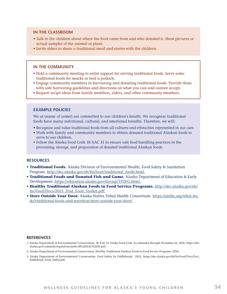#### **IN THE CLASSROOM**

- Talk to the children about where the food came from and who donated it. Show pictures or actual samples of the animal or plant.
- Invite elders to share a traditional meal and stories with the children.

#### **IN THE COMMUNITY**

- Hold a community meeting to enlist support for serving traditional foods. Serve some traditional foods for snacks or host a potlach.
- Engage community members in harvesting and donating traditional foods. Provide them with safe harvesting guidelines and directions on what you can and cannot accept.
- Request recipe ideas from family members, elders, and other community members.

#### **EXAMPLE POLICIES**

We at (name of center) are committed to our children's health. We recognize traditional foods have many nutritional, cultural, and emotional benefits. Therefore, we will:

- Recognize and value traditional foods from all cultures and ethnicities represented in our care.
- Work with family and community members to obtain donated traditional Alaskan foods to serve to our children.
- Follow the Alaska Food Code 18 AAC 31 to ensure safe food handling practices in the processing, storage, and preparation of donated traditional Alaskan foods.

#### **RESOURCES**

- **Traditional Foods.** Alaska Division of Environmental Health, Food Safety & Sanitation Program. http://dec.alaska.gov/eh/fss/food/traditional\_foods.html.
- **Traditional Foods and Donated Fish and Game.** Alaska Department of Education & Early Development. https://education.alaska.gov/tls/cnp/TFDFG.html.
- **Healthy Traditional Alaskan Foods in Food Service Programs.** http://dec.alaska.gov/eh/ fss/Food/Docs/2015\_Trad\_Food\_Toolkit.pdf.
- **Store Outside Your Door.** Alaska Native Tribal Health Consortium. https://anthc.org/what-wedo/traditional-foods-and-nutrition/store-outside-your-door/.

#### **REFERENCES**

- 1. Alaska Department of Environmental Conservation. 18 AAC 31 Alaska Food Code. As amended through November 16, 2016. https://dec. alaska.gov/commish/regulations/pdfs/18%20AAC%2031.pdf.
- 2. Alaska Department of Environmental Conservation. Healthy Traditional Alaskan Foods in Food Service Programs. 2016.
- 3. Alaska Department of Environmental Conservation. Food Safety for Fiddleheads. 2012. https://dec.alaska.gov/eh/fss/Food/Docs/Fact\_ Fiddlehead\_Food\_Safety.pdf.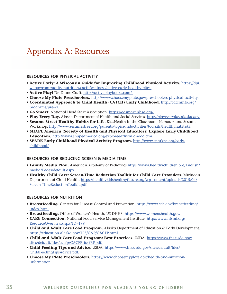### <span id="page-37-0"></span>Appendix A: Resources

#### **RESOURCES FOR PHYSICAL ACTIVITY**

- **Active Early: A Wisconsin Guide for Improving Childhood Physical Activity.** https://dpi. wi.gov/community-nutrition/cacfp/wellness/active-early-healthy-bites.
- **Active Play!** Dr. Diane Craft. http://activeplaybooks.com/.
- **Choose My Plate Preschoolers.** http://www.choosemyplate.gov/preschoolers-physical-activity.
- **Coordinated Approach to Child Health (CATCH) Early Childhood.** http://catchinfo.org/ programs/pre-k/.
- **Go Smart.** National Head Start Association. https://gosmart.nhsa.org/.
- **Play Every Day.** Alaska Department of Health and Social Services. http://playeveryday.alaska.gov.
- **Sesame Street Healthy Habits for Life.** KidsHealth in the Classroom, Nemours and Sesame Workshop. http://www.sesamestreet.org/parents/topicsandactivities/toolkits/healthyhabits#5.
- **SHAPE America (Society of Health and Physical Educators) Explore Early Childhood Education.** http://www.shapeamerica.org/exploreearlychildhood.cfm.
- **SPARK Early Childhood Physical Activity Program.** http://www.sparkpe.org/earlychildhood/.

#### **RESOURCES FOR REDUCING SCREEN & MEDIA TIME**

- **Family Media Plan.** American Academy of Pediatrics https://www.healthychildren.org/English/ media/Pages/default.aspx.
- **Healthy Child Care: Screen-Time Reduction Toolkit for Child Care Providers.** Michigan Department of Child Health. https://healthykidshealthyfuture.org/wp-content/uploads/2015/04/ Screen-TimeReductionToolkit.pdf.

#### **RESOURCES FOR NUTRITION**

- **Breastfeeding.** Centers for Disease Control and Prevention. https://www.cdc.gov/breastfeeding/ index.htm.
- **Breastfeeding.** Office of Women's Health, US DHHS. https://www.womenshealth.gov.
- **CARE Connection.** National Food Service Management Institute. http://www.nfsmi.org/ ResourceOverview.aspx?ID=199.
- **Child and Adult Care Food Program.** Alaska Department of Education & Early Development. https://education.alaska.gov/TLS/CNP/CACFP.html.
- **Child and Adult Care Food Program: Best Practices.** USDA. https://www.fns.usda.gov/ sites/default/files/cacfp/CACFP\_factBP.pdf.
- **Child Feeding Tips and Advice.** USDA. https://www.fns.usda.gov/sites/default/files/ ChildFeedingTipsAdvice.pdf.
- **Choose My Plate Preschoolers.** https://www.choosemyplate.gov/health-and-nutritioninformation.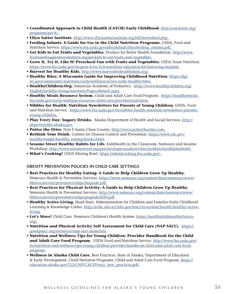- **Coordinated Approach to Child Health (CATCH) Early Childhood.** http://catchinfo.org/ programs/pre-k/.
- **Ellyn Satter Institute.** http://www.ellynsatterinstitute.org/htf/howtofeed.php.
- **Feeding Infants: A Guide for Use in the Child Nutrition Programs.** USDA, Food and Nutrition Service. https://www.fns.usda.gov/sites/default/files/feeding\_infants.pdf.
- **Get Kids to Eat Fruits and Vegetables.** Produce for Better Health Foundation. http://www. fruitsandveggiesmorematters.org/get-kids-to-eat-fruits-and-vegetables.
- **Grow It, Try It, Like It! Preschool Fun with Fruits and Vegetables.** USDA Team Nutrition. https://www.fns.usda.gov/tn/grow-it-try-it-it-nutrition-education-kit-featuring-myplate.
- **Harvest for Healthy Kids.** http://www.harvestforhealthykids.org/.
- **Healthy Bites: A Wisconsin Guide for Improving Childhood Nutrition.** https://dpi. wi.gov/community-nutrition/cacfp/wellness/active-early-healthy-bites.
- **HealthyChildren.Org.** American Academy of Pediatrics. https://www.healthychildren.org/ English/healthy-living/nutrition/Pages/default.aspx.
- **Healthy Meals Resource System.** Child and Adult Care Food Program. https://healthymeals. fns.usda.gov/cacfp-wellness-resources-child-care-providers/nutrition.
- **Nibbles for Health: Nutrition Newsletters for Parents of Young Children.** USDA, Food and Nutrition Service. https://www.fns.usda.gov/tn/nibbles-health-nutrition-newsletters-parentsyoung-children.
- **Play Every Day: Sugary Drinks.** Alaska Department of Health and Social Services. http:// playeveryday.alaska.gov.
- Potter the Otter. First 5 Santa Clara County. http://www.pottertheotter.com.
- **Rethink Your Drink.** Centers for Disease Control and Prevention. https://www.cdc.gov/ healthyweight/healthy\_eating/drinks.html.
- **Sesame Street Healthy Habits for Life.** KidsHealth in the Classroom, Nemours and Sesame Workshop: http://www.sesamestreet.org/parents/topicsandactivities/toolkits/healthyhabits#5.
- **What's Cooking?** USDA Mixing Bowl. https://whatscooking.fns.usda.gov/.

#### **OBESITY PREVENTION POLICIES IN CHILD CARE SETTINGS**

- **Best Practices for Healthy Eating: A Guide to Help Children Grow Up Healthy.** Nemours Health & Prevention Services. https://www.nemours.org/content/dam/nemours/www/ filebox/service/preventive/nhps/heguide.pdf.
- **Best Practices for Physical Activity: A Guide to Help Children Grow Up Healthy.** Nemours Health & Prevention Services. http://www.nemours.org/content/dam/nemours/www/ filebox/service/preventive/nhps/paguide2010.pdf.
- **Healthy Active Living.** Head Start, Administration for Children and Families Early Childhood Learning & Knowledge Center. http://eclkc.ohs.acf.hhs.gov/hslc/tta-system/health/healthy-activeliving.
- **Let's Move!** Child Care. Nemours Children's Health System. https://healthykidshealthyfuture. org/.
- **Nutrition and Physical Activity Self Assessment for Child Care (NAP SACC).** https:// gonapsacc.org/resources/nap-sacc-materials.
- **Nutrition and Wellness Tips for Young Children: Provider Handbook for the Child** and Adult Care Food Program. USDA Food and Nutrition Service. http://www.fns.usda.gov/ tn/nutrition-and-wellness-tips-young-children-provider-handbook-child-and-adult-care-foodprogram.
- **Wellness in Alaska Child Care.** Best Practices. State of Alaska, Department of Education & Early Development, Child Nutrition Programs, Child and Adult Care Food Program. https:// education.alaska.gov/TLS/CNP/CACFP/wicc\_best\_practices.pdf.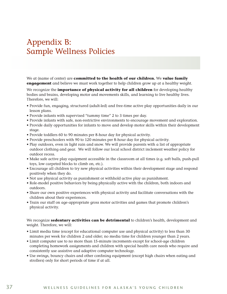### <span id="page-39-0"></span>Appendix B: Sample Wellness Policies

We at (name of center) are **committed to the health of our children.** We **value family engagement** and believe we must work together to help children grow up at a healthy weight.

We recognize the **importance of physical activity for all children** for developing healthy bodies and brains, developing motor and movements skills, and learning to live healthy lives. Therefore, we will:

- Provide fun, engaging, structured (adult-led) and free-time active play opportunities daily in our lesson plans.
- Provide infants with supervised "tummy time" 2 to 3 times per day.
- Provide infants with safe, non-restrictive environments to encourage movement and exploration.
- Provide daily opportunities for infants to move and develop motor skills within their development stage.
- Provide toddlers 60 to 90 minutes per 8-hour day for physical activity.
- Provide preschoolers with 90 to 120 minutes per 8-hour day for physical activity.
- Play outdoors, even in light rain and snow. We will provide parents with a list of appropriate outdoor clothing and gear. We will follow our local school district inclement weather policy for outdoor recess.
- Make safe active play equipment accessible in the classroom at all times (e.g. soft balls, push-pull toys, low carpeted blocks to climb on, etc.).
- Encourage all children to try new physical activities within their development stage and respond positively when they do.
- Not use physical activity as punishment or withhold active play as punishment.
- Role-model positive behaviors by being physically active with the children, both indoors and outdoors.
- Share our own positive experiences with physical activity and facilitate conversations with the children about their experiences.
- Train our staff on age-appropriate gross motor activities and games that promote children's physical activity.

We recognize **sedentary activities can be detrimental** to children's health, development and weight. Therefore, we will:

- Limit media time (except for educational computer use and physical activity) to less than 30 minutes per week for children 2 and older; no media time for children younger than 2 years.
- Limit computer use to no more than 15-minute increments except for school-age children completing homework assignments and children with special health care needs who require and consistently use assistive and adaptive computer technology.
- Use swings, bouncy chairs and other confining equipment (except high chairs when eating and strollers) only for short periods of time if at all.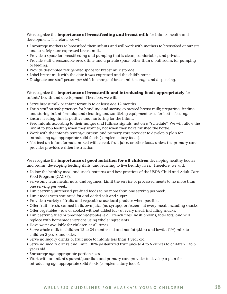We recognize the **importance of breastfeeding and breast milk** for infants' health and development. Therefore, we will:

- Encourage mothers to breastfeed their infants and will work with mothers to breastfeed at our site and to safely store expressed breast milk.
- Provide a space for breastfeeding and pumping that is clean, comfortable, and private.
- Provide staff a reasonable break time and a private space, other than a bathroom, for pumping or feeding.
- Provide designated refrigerated space for breast milk storage.
- Label breast milk with the date it was expressed and the child's name.
- Designate one staff person per shift in charge of breast milk storage and dispensing.

We recognize the **importance of breastmilk and introducing foods appropriately** for infants' health and development. Therefore, we will:

- Serve breast milk or infant formula to at least age 12 months.
- Train staff on safe practices for handling and storing expressed breast milk; preparing, feeding, and storing infant formula; and cleaning and sanitizing equipment used for bottle feeding.
- Ensure feeding time is positive and nurturing for the infant.
- Feed infants according to their hunger and fullness signals, not on a "schedule". We will allow the infant to stop feeding when they want to, not when they have finished the bottle.
- Work with the infant's parent/guardian and primary care provider to develop a plan for introducing age-appropriate solid foods (complementary foods).
- Not feed an infant formula mixed with cereal, fruit juice, or other foods unless the primary care provider provides written instruction.

We recognize the **importance of good nutrition for all children** developing healthy bodies and brains, developing feeding skills, and learning to live healthy lives. Therefore, we will:

- Follow the healthy meal and snack patterns and best practices of the USDA Child and Adult Care Food Program (CACFP).
- Serve only lean meats, nuts, and legumes. Limit the service of processed meats to no more than one serving per week.
- Limit serving purchased pre-fried foods to no more than one serving per week.
- Limit foods with saturated fat and added salt and sugar.
- Provide a variety of fruits and vegetables; use local produce when possible.
- Offer fruit fresh, canned in its own juice (no syrups), or frozen at every meal, including snacks.
- Offer vegetables raw or cooked without added fat at every meal, including snacks.
- Limit serving fried or pre-fried vegetables (e.g., French fries, hash browns, tater tots) and will replace with homemade versions using whole ingredients.
- Have water available for children at all times.
- Serve whole milk to children 12 to 24 months old and nonfat (skim) and lowfat (1%) milk to children 2 years and older.
- Serve no sugary drinks or fruit juice to infants less than 1 year old.
- Serve no sugary drinks and limit 100% pasteurized fruit juice to 4 to 6 ounces to children 1 to 6 years old.
- Encourage age-appropriate portion sizes.
- Work with an infant's parent/guardian and primary care provider to develop a plan for introducing age-appropriate solid foods (complementary foods).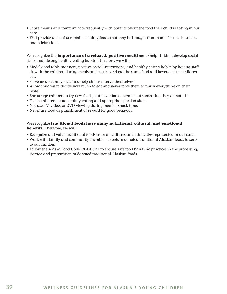- Share menus and communicate frequently with parents about the food their child is eating in our care.
- Will provide a list of acceptable healthy foods that may be brought from home for meals, snacks and celebrations.

We recognize the **importance of a relaxed, positive mealtime** to help children develop social skills and lifelong healthy eating habits. Therefore, we will:

- Model good table manners, positive social interactions, and healthy eating habits by having staff sit with the children during meals and snacks and eat the same food and beverages the children eat.
- Serve meals family style and help children serve themselves.
- Allow children to decide how much to eat and never force them to finish everything on their plate.
- Encourage children to try new foods, but never force them to eat something they do not like.
- Teach children about healthy eating and appropriate portion sizes.
- Not use TV, video, or DVD viewing during meal or snack time.
- Never use food as punishment or reward for good behavior.

#### We recognize **traditional foods have many nutritional, cultural, and emotional benefits.** Therefore, we will:

- Recognize and value traditional foods from all cultures and ethnicities represented in our care.
- Work with family and community members to obtain donated traditional Alaskan foods to serve to our children.
- Follow the Alaska Food Code 18 AAC 31 to ensure safe food handling practices in the processing, storage and preparation of donated traditional Alaskan foods.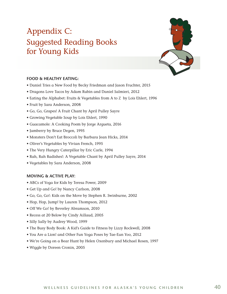## <span id="page-42-0"></span>Appendix C: Suggested Reading Books for Young Kids



#### **FOOD & HEALTHY EATING:**

- Daniel Tries a New Food by Becky Friedman and Jason Fruchter, 2015
- Dragons Love Tacos by Adam Rubin and Daniel Salmieri, 2012
- Eating the Alphabet: Fruits & Vegetables from A to Z by Lois Ehlert, 1996
- Fruit by Sara Anderson, 2008
- Go, Go, Grapes! A Fruit Chant by April Pulley Sayre
- Growing Vegetable Soup by Lois Ehlert, 1990
- Guacamole: A Cooking Poem by Jorge Argueta, 2016
- Jamberry by Bruce Degen, 1995
- Monsters Don't Eat Broccoli by Barbara Jean Hicks, 2014
- Oliver's Vegetables by Vivian French, 1995
- The Very Hungry Caterpillar by Eric Carle, 1994
- Rah, Rah Radishes!: A Vegetable Chant by April Pulley Sayre, 2014
- Vegetables by Sara Anderson, 2008

#### **MOVING & ACTIVE PLAY:**

- ABCs of Yoga for Kids by Teresa Power, 2009
- Get Up and Go! by Nancy Carlson, 2008
- Go, Go, Go!: Kids on the Move by Stephen R. Swinburne, 2002
- Hop, Hop, Jump! by Lauren Thompson, 2012
- Off We Go! by Beverley Abramson, 2010
- Recess at 20 Below by Cindy Aillaud, 2005
- Silly Sally by Audrey Wood, 1999
- The Busy Body Book: A Kid's Guide to Fitness by Lizzy Rockwell, 2008
- You Are a Lion! and Other Fun Yoga Poses by Tae-Eun Yoo, 2012
- We're Going on a Bear Hunt by Helen Oxenbury and Michael Rosen, 1997
- Wiggle by Doreen Cronin, 2005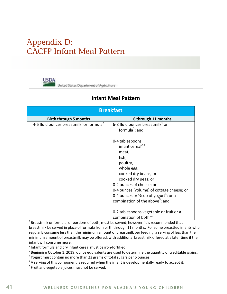### <span id="page-43-0"></span>Appendix D: CACFP Infant Meal Pattern

**USDA** United States Department of Agriculture

### **Infant Meal Pattern**

| <b>Breakfast</b>                                                 |                                                                                                                                                                                                                                                                                                                                     |  |  |
|------------------------------------------------------------------|-------------------------------------------------------------------------------------------------------------------------------------------------------------------------------------------------------------------------------------------------------------------------------------------------------------------------------------|--|--|
| <b>Birth through 5 months</b>                                    | 6 through 11 months                                                                                                                                                                                                                                                                                                                 |  |  |
| 4-6 fluid ounces breastmilk <sup>1</sup> or formula <sup>2</sup> | 6-8 fluid ounces breastmilk $1$ or                                                                                                                                                                                                                                                                                                  |  |  |
|                                                                  | formula <sup>2</sup> ; and                                                                                                                                                                                                                                                                                                          |  |  |
|                                                                  | 0-4 tablespoons<br>infant cereal <sup>2,3</sup><br>meat,<br>fish,<br>poultry,<br>whole egg,<br>cooked dry beans, or<br>cooked dry peas; or<br>0-2 ounces of cheese; or<br>0-4 ounces (volume) of cottage cheese; or<br>0-4 ounces or $\frac{1}{2}$ cup of yogurt <sup>4</sup> ; or a<br>combination of the above <sup>5</sup> ; and |  |  |
|                                                                  | 0-2 tablespoons vegetable or fruit or a<br>combination of both <sup>5,6</sup>                                                                                                                                                                                                                                                       |  |  |

 $1$ Breastmilk or formula, or portions of both, must be served; however, it is recommended that breastmilk be served in place of formula from birth through 11 months. For some breastfed infants who regularly consume less than the minimum amount of breastmilk per feeding, a serving of less than the minimum amount of breastmilk may be offered, with additional breastmilk offered at a later time if the infant will consume more.

<sup>2</sup> Infant formula and dry infant cereal must be iron-fortified.

<sup>3</sup> Beginning October 1, 2019, ounce equivalents are used to determine the quantity of creditable grains.<br><sup>4</sup> Yogurt must contain no more than 23 grams of total sugars per 6 ounces.<br><sup>5</sup> A serving of this component is requ

 $6$  Fruit and vegetable juices must not be served.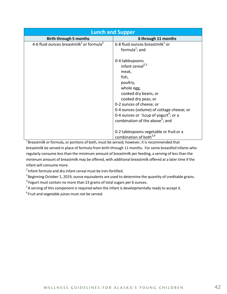| <b>Lunch and Supper</b>                                          |                                                               |  |  |
|------------------------------------------------------------------|---------------------------------------------------------------|--|--|
| <b>Birth through 5 months</b>                                    | 6 through 11 months                                           |  |  |
| 4-6 fluid ounces breastmilk <sup>1</sup> or formula <sup>2</sup> | 6-8 fluid ounces breastmilk <sup>1</sup> or                   |  |  |
|                                                                  | formula <sup>2</sup> ; and                                    |  |  |
|                                                                  |                                                               |  |  |
|                                                                  | 0-4 tablespoons                                               |  |  |
|                                                                  | infant cereal <sup>2,3</sup>                                  |  |  |
|                                                                  | meat,                                                         |  |  |
|                                                                  | fish,                                                         |  |  |
|                                                                  | poultry,                                                      |  |  |
|                                                                  | whole egg,                                                    |  |  |
|                                                                  | cooked dry beans, or                                          |  |  |
|                                                                  | cooked dry peas; or                                           |  |  |
|                                                                  | 0-2 ounces of cheese; or                                      |  |  |
|                                                                  | 0-4 ounces (volume) of cottage cheese; or                     |  |  |
|                                                                  | 0-4 ounces or $\frac{1}{2}$ cup of yogurt <sup>4</sup> ; or a |  |  |
|                                                                  | combination of the above <sup>5</sup> ; and                   |  |  |
|                                                                  |                                                               |  |  |
|                                                                  | 0-2 tablespoons vegetable or fruit or a                       |  |  |
|                                                                  | combination of both <sup>5,6</sup>                            |  |  |

 $1$ Breastmilk or formula, or portions of both, must be served; however, it is recommended that breastmilk be served in place of formula from birth through 11 months. For some breastfed infants who regularly consume less than the minimum amount of breastmilk per feeding, a serving of less than the minimum amount of breastmilk may be offered, with additional breastmilk offered at a later time if the infant will consume more.

<sup>2</sup> Infant formula and dry infant cereal must be iron-fortified.

<sup>3</sup> Beginning October 1, 2019, ounce equivalents are used to determine the quantity of creditable grains.<br><sup>4</sup> Yogurt must contain no more than 23 grams of total sugars per 6 ounces.<br><sup>5</sup> A serving of this component is requ

 $6$  Fruit and vegetable juices must not be served.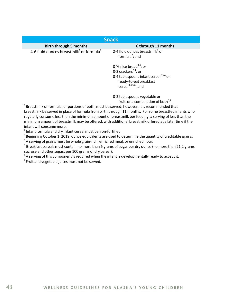| <b>Snack</b>                                                     |                                                                                                                                                                                                                                                             |  |  |
|------------------------------------------------------------------|-------------------------------------------------------------------------------------------------------------------------------------------------------------------------------------------------------------------------------------------------------------|--|--|
| <b>Birth through 5 months</b>                                    | 6 through 11 months                                                                                                                                                                                                                                         |  |  |
| 4-6 fluid ounces breastmilk <sup>1</sup> or formula <sup>2</sup> | 2-4 fluid ounces breastmilk $1$ or<br>formula <sup>2</sup> ; and<br>0- $\frac{1}{2}$ slice bread <sup>3,4</sup> ; or<br>0-2 crackers $^{3,4}$ ; or<br>0-4 tablespoons infant cereal <sup>2,3,4</sup> or<br>ready-to-eat breakfast<br>cereal $3,4,5,6$ ; and |  |  |
|                                                                  | 0-2 tablespoons vegetable or<br>fruit, or a combination of both <sup>6,7</sup>                                                                                                                                                                              |  |  |

 $1$  Breastmilk or formula, or portions of both, must be served; however, it is recommended that breastmilk be served in place of formula from birth through 11 months. For some breastfed infants who regularly consume less than the minimum amount of breastmilk per feeding, a serving of less than the minimum amount of breastmilk may be offered, with additional breastmilk offered at a later time if the infant will consume more.

<sup>2</sup> Infant formula and dry infant cereal must be iron-fortified.<br><sup>3</sup> Beginning October 1, 2019, ounce equivalents are used to determine the quantity of creditable grains.

 $4$  A serving of grains must be whole grain-rich, enriched meal, or enriched flour.<br><sup>5</sup> Breakfast cereals must contain no more than 6 grams of sugar per dry ounce (no more than 21.2 grams sucrose and other sugars per 100 grams of dry cereal).

 $6$  A serving of this component is required when the infant is developmentally ready to accept it.<br><sup>7</sup> Fruit and vegetable juices must not be served.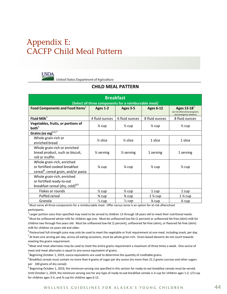### <span id="page-46-0"></span>Appendix E: CACFP Child Meal Pattern



United States Department of Agriculture

#### **CHILD MEAL PATTERN**

| <b>Breakfast</b>                                                                                                |                       |                       |                   |                                                                            |  |
|-----------------------------------------------------------------------------------------------------------------|-----------------------|-----------------------|-------------------|----------------------------------------------------------------------------|--|
| (Select all three components for a reimbursable meal)                                                           |                       |                       |                   |                                                                            |  |
| Food Components and Food Items <sup>1</sup>                                                                     | <b>Ages 1-2</b>       | Ages 3-5              | <b>Ages 6-12</b>  | Ages $13-18^2$<br>(at-risk afterschool programs<br>and emergency shelters) |  |
| Fluid Milk $3$                                                                                                  | 4 fluid ounces        | 6 fluid ounces        | 8 fluid ounces    | 8 fluid ounces                                                             |  |
| Vegetables, fruits, or portions of<br>both <sup>4</sup>                                                         | $\frac{1}{4}$ cup     | $\frac{1}{2}$ cup     | $\frac{1}{2}$ cup | $\frac{1}{2}$ cup                                                          |  |
| Grains (oz eq) $5,6,7$                                                                                          |                       |                       |                   |                                                                            |  |
| Whole grain-rich or<br>enriched bread                                                                           | $\frac{1}{2}$ slice   | $\frac{1}{2}$ slice   | 1 slice           | 1 slice                                                                    |  |
| Whole grain-rich or enriched<br>bread product, such as biscuit,<br>roll or muffin                               | $\frac{1}{2}$ serving | $\frac{1}{2}$ serving | 1 serving         | 1 serving                                                                  |  |
| Whole grain-rich, enriched<br>or fortified cooked breakfast<br>cereal <sup>8</sup> , cereal grain, and/or pasta | 1⁄4 cup               | 1⁄4 cup               | $\frac{1}{2}$ cup | $\frac{1}{2}$ cup                                                          |  |
| Whole grain-rich, enriched<br>or fortified ready-to-eat<br>breakfast cereal (dry, cold) <sup>8,9</sup>          |                       |                       |                   |                                                                            |  |
| Flakes or rounds                                                                                                | $\frac{1}{2}$ cup     | $\frac{1}{2}$ cup     | 1 cup             | 1 cup                                                                      |  |
| Puffed cereal                                                                                                   | 3⁄4 cup               | 3⁄4 cup               | 1 ¼ cup           | 1 % cup                                                                    |  |
| Granola                                                                                                         | $\frac{1}{8}$ cup     | $\frac{1}{8}$ cup     | 1⁄4 cup           | 1⁄4 cup                                                                    |  |

 $1$  Must serve all three components for a reimbursable meal. Offer versus serve is an option for at-risk afterschool participants.

 $2$  Larger portion sizes than specified may need to be served to children 13 through 18 years old to meet their nutritional needs.

<sup>3</sup> Must be unflavored whole milk for children age one. Must be unflavored low-fat (1 percent) or unflavored fat-free (skim) milk for children two through five years old. Must be unflavored low-fat (1 percent), unflavored fat-free (skim), or flavored fat-free (skim) milk for children six years old and older.<br><sup>4</sup> Pasteurized full-strength juice may only be used to meet the vegetable or fruit requirement at one meal, including snack, per day.

<sup>5</sup> At least one serving per day, across all eating occasions, must be whole grain-rich. Grain-based desserts do not count towards meeting the grains requirement.

 $6$  Meat and meat alternates may be used to meet the entire grains requirement a maximum of three times a week. One ounce of meat and meat alternates is equal to one ounce equivalent of grains.

 $^7$ Beginning October 1, 2019, ounce equivalents are used to determine the quantity of creditable grains.<br><sup>8</sup> Breakfast cereals must contain no more than 6 grams of sugar per dry ounce (no more than 21.2 grams sucrose and per 100 grams of dry cereal).<br><sup>9</sup> Beginning October 1, 2019, the minimum serving size specified in this section for ready-to-eat breakfast cereals must be served.

Until October 1, 2019, the minimum serving size for any type of ready-to-eat breakfast cereals is ¼ cup for children ages 1-2; 1/3 cup for children ages 3-5; and ¾ cup for children ages 6-12.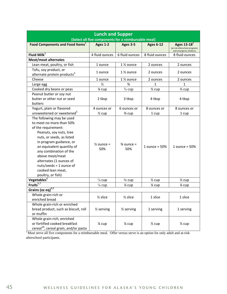| <b>Lunch and Supper</b><br>(Select all five components for a reimbursable meal)                                                                                                                                                                                                                                                             |                              |                              |                   |                                                                             |
|---------------------------------------------------------------------------------------------------------------------------------------------------------------------------------------------------------------------------------------------------------------------------------------------------------------------------------------------|------------------------------|------------------------------|-------------------|-----------------------------------------------------------------------------|
| Food Components and Food Items <sup>1</sup>                                                                                                                                                                                                                                                                                                 | Ages 1-2                     | <b>Ages 3-5</b>              | <b>Ages 6-12</b>  | Ages 13-18 $^2$<br>(at-risk afterschool programs<br>and emergency shelters) |
| Fluid Milk $3$                                                                                                                                                                                                                                                                                                                              | 4 fluid ounces               | 6 fluid ounces               | 8 fluid ounces    | 8 fluid ounces                                                              |
| <b>Meat/meat alternates</b>                                                                                                                                                                                                                                                                                                                 |                              |                              |                   |                                                                             |
| Lean meat, poultry, or fish                                                                                                                                                                                                                                                                                                                 | 1 ounce                      | 1 % ounce                    | 2 ounces          | 2 ounces                                                                    |
| Tofu, soy product, or<br>alternate protein products <sup>4</sup>                                                                                                                                                                                                                                                                            | 1 ounce                      | $1\%$ ounce                  | 2 ounces          | 2 ounces                                                                    |
| Cheese                                                                                                                                                                                                                                                                                                                                      | 1 ounce                      | 1 % ounce                    | 2 ounces          | 2 ounces                                                                    |
| Large egg                                                                                                                                                                                                                                                                                                                                   | $\frac{1}{2}$                | $\frac{3}{4}$                | 1                 | $\mathbf{1}$                                                                |
| Cooked dry beans or peas                                                                                                                                                                                                                                                                                                                    | 1⁄4 cup                      | $\frac{3}{8}$ cup            | $\frac{1}{2}$ cup | $\frac{1}{2}$ cup                                                           |
| Peanut butter or soy nut<br>butter or other nut or seed<br>butters                                                                                                                                                                                                                                                                          | 2 tbsp                       | 3 tbsp                       | 4 tbsp            | 4 tbsp                                                                      |
| Yogurt, plain or flavored                                                                                                                                                                                                                                                                                                                   | 4 ounces or                  | 6 ounces or                  | 8 ounces or       | 8 ounces or                                                                 |
| unsweetened or sweetened <sup>5</sup>                                                                                                                                                                                                                                                                                                       | $\frac{1}{2}$ cup            | 3⁄4 cup                      | 1 cup             | 1 cup                                                                       |
| The following may be used<br>to meet no more than 50%<br>of the requirement:<br>Peanuts, soy nuts, tree<br>nuts, or seeds, as listed<br>in program guidance, or<br>an equivalent quantity of<br>any combination of the<br>above meat/meat<br>alternates (1 ounces of<br>$nuts/seeds = 1$ ounce of<br>cooked lean meat,<br>poultry, or fish) | $\frac{1}{2}$ ounce =<br>50% | $\frac{3}{4}$ ounce =<br>50% | 1 ounce = $50%$   | $1$ ounce = $50\%$                                                          |
| Vegetables <sup>6</sup>                                                                                                                                                                                                                                                                                                                     | $\frac{1}{8}$ cup            | $\frac{1}{4}$ cup            | $\frac{1}{2}$ cup | $\frac{1}{2}$ cup                                                           |
| Fruits $^{6,7}$                                                                                                                                                                                                                                                                                                                             | $\frac{1}{8}$ cup            | 1⁄4 cup                      | 1⁄4 cup           | 1⁄4 cup                                                                     |
| Grains (oz eq) <sup>8,9</sup>                                                                                                                                                                                                                                                                                                               |                              |                              |                   |                                                                             |
| Whole grain-rich or<br>enriched bread                                                                                                                                                                                                                                                                                                       | $\frac{1}{2}$ slice          | $\frac{1}{2}$ slice          | 1 slice           | 1 slice                                                                     |
| Whole grain-rich or enriched<br>bread product, such as biscuit, roll<br>or muffin                                                                                                                                                                                                                                                           | $\frac{1}{2}$ serving        | $\frac{1}{2}$ serving        | 1 serving         | 1 serving                                                                   |
| Whole grain-rich, enriched<br>or fortified cooked breakfast<br>cereal <sup>10</sup> , cereal grain, and/or pasta                                                                                                                                                                                                                            | 1⁄4 cup                      | 1⁄4 cup                      | $\frac{1}{2}$ cup | $\frac{1}{2}$ cup                                                           |

 $1$  Must serve all five components for a reimbursable meal. Offer versus serve is an option for only adult and at-risk afterschool participants.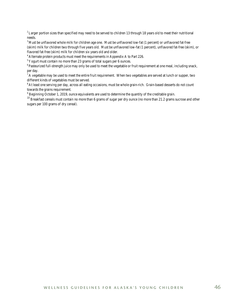<sup>2</sup> Larger portion sizes than specified may need to be served to children 13 through 18 years old to meet their nutritional needs.

<sup>3</sup> Must be unflavored whole milk for children age one. Must be unflavored low-fat (1 percent) or unflavored fat-free (skim) milk for children two through five years old. Must be unflavored low-fat (1 percent), unflavored fat-free (skim), or flavored fat-free (skim) milk for children six years old and older.<br><sup>4</sup> Alternate protein products must meet the requirements in Appendix A to Part 226.<br><sup>5</sup> Yogurt must contain no more than 23 grams of total sugars per 6 o

 $6$  Pasteurized full-strength juice may only be used to meet the vegetable or fruit requirement at one meal, including snack, per day.

 $<sup>7</sup>$  A vegetable may be used to meet the entire fruit requirement. When two vegetables are served at lunch or supper, two</sup> different kinds of vegetables must be served.

<sup>8</sup> At least one serving per day, across all eating occasions, must be whole grain-rich. Grain-based desserts do not count towards the grains requirement.<br><sup>9</sup> Beginning October 1, 2019, ounce equivalents are used to determine the quantity of the creditable grain.

 $^{10}$  Breakfast cereals must contain no more than 6 grams of sugar per dry ounce (no more than 21.2 grams sucrose and other sugars per 100 grams of dry cereal).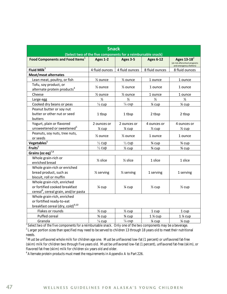| <b>Snack</b>                                                                                                    |                                                              |                       |                   |                                                                            |  |  |
|-----------------------------------------------------------------------------------------------------------------|--------------------------------------------------------------|-----------------------|-------------------|----------------------------------------------------------------------------|--|--|
|                                                                                                                 | (Select two of the five components for a reimbursable snack) |                       |                   |                                                                            |  |  |
| Food Components and Food Items <sup>1</sup>                                                                     | Ages 1-2                                                     | Ages 3-5              | <b>Ages 6-12</b>  | Ages $13-18^2$<br>(at-risk afterschool programs<br>and emergency shelters) |  |  |
| Fluid Mil $k^3$                                                                                                 | 4 fluid ounces                                               | 4 fluid ounces        | 8 fluid ounces    | 8 fluid ounces                                                             |  |  |
| <b>Meat/meat alternates</b>                                                                                     |                                                              |                       |                   |                                                                            |  |  |
| Lean meat, poultry, or fish                                                                                     | $\frac{1}{2}$ ounce                                          | $\frac{1}{2}$ ounce   | 1 ounce           | 1 ounce                                                                    |  |  |
| Tofu, soy product, or<br>alternate protein products <sup>4</sup>                                                | $\frac{1}{2}$ ounce                                          | $\frac{1}{2}$ ounce   | 1 ounce           | 1 ounce                                                                    |  |  |
| Cheese                                                                                                          | 1/ <sub>2</sub> ounce                                        | 1/ <sub>2</sub> ounce | 1 ounce           | 1 ounce                                                                    |  |  |
| Large egg                                                                                                       | $\frac{1}{2}$                                                | $\frac{1}{2}$         | $\frac{1}{2}$     | $\frac{1}{2}$                                                              |  |  |
| Cooked dry beans or peas                                                                                        | $\frac{1}{8}$ cup                                            | $\frac{1}{8}$ cup     | 1⁄4 cup           | 1⁄4 cup                                                                    |  |  |
| Peanut butter or soy nut<br>butter or other nut or seed                                                         | 1 tbsp                                                       | 1 tbsp                | 2 tbsp            | 2 tbsp                                                                     |  |  |
| butters                                                                                                         |                                                              |                       |                   |                                                                            |  |  |
| Yogurt, plain or flavored                                                                                       | 2 ounces or                                                  | 2 ounces or           | 4 ounces or       | 4 ounces or                                                                |  |  |
| unsweetened or sweetened <sup>5</sup>                                                                           | 1⁄4 cup                                                      | 1⁄4 cup               | $\frac{1}{2}$ cup | $\frac{1}{2}$ cup                                                          |  |  |
| Peanuts, soy nuts, tree nuts,<br>or seeds                                                                       | 1/ <sub>2</sub> ounce                                        | 1/ <sub>2</sub> ounce | 1 ounce           | 1 ounce                                                                    |  |  |
| Vegetables <sup>6</sup>                                                                                         | $\frac{1}{2}$ cup                                            | $\frac{1}{2}$ cup     | 3⁄4 cup           | 3⁄4 cup                                                                    |  |  |
| Fruits $^6$                                                                                                     | $\frac{1}{2}$ cup                                            | $\frac{1}{2}$ cup     | 3⁄4 cup           | 3⁄4 cup                                                                    |  |  |
| Grains (oz eq) $^{7,8}$                                                                                         |                                                              |                       |                   |                                                                            |  |  |
| Whole grain-rich or<br>enriched bread                                                                           | $\frac{1}{2}$ slice                                          | $\frac{1}{2}$ slice   | 1 slice           | 1 slice                                                                    |  |  |
| Whole grain-rich or enriched<br>bread product, such as<br>biscuit, roll or muffin                               | $\frac{1}{2}$ serving                                        | $\frac{1}{2}$ serving | 1 serving         | 1 serving                                                                  |  |  |
| Whole grain-rich, enriched<br>or fortified cooked breakfast<br>cereal <sup>9</sup> , cereal grain, and/or pasta | 1⁄4 cup                                                      | 1⁄4 cup               | $\frac{1}{2}$ cup | $\frac{1}{2}$ cup                                                          |  |  |
| Whole grain-rich, enriched<br>or fortified ready-to-eat<br>breakfast cereal (dry, cold) <sup>9,10</sup>         |                                                              |                       |                   |                                                                            |  |  |
| Flakes or rounds                                                                                                | $\frac{1}{2}$ cup                                            | $\frac{1}{2}$ cup     | 1 cup             | 1 cup                                                                      |  |  |
| Puffed cereal                                                                                                   | 3⁄4 cup                                                      | 3⁄4 cup               | 1 % cup           | 1 % cup                                                                    |  |  |
| Granola                                                                                                         | $\frac{1}{8}$ cup                                            | $\frac{1}{8}$ cup     | 1⁄4 cup           | 1⁄4 cup                                                                    |  |  |

Select two of the five components for a reimbursable snack. Only one of the two components may be a beverage. <sup>2</sup> Larger portion sizes than specified may need to be served to children 13 through 18 years old to meet their nutritional needs.

<sup>3</sup> Must be unflavored whole milk for children age one. Must be unflavored low-fat (1 percent) or unflavored fat-free (skim) milk for children two through five years old. Must be unflavored low-fat (1 percent), unflavored fat-free (skim), or flavored fat-free (skim) milk for children six years old and older. 4 Alternate protein products must meet the requirements in Appendix A to Part 226.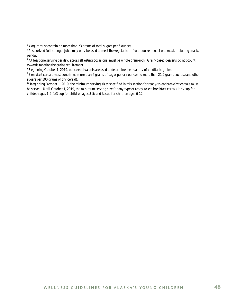5 Yogurt must contain no more than 23 grams of total sugars per 6 ounces.

<sup>6</sup> Pasteurized full-strength juice may only be used to meet the vegetable or fruit requirement at one meal, including snack, per day.

 $^7$  At least one serving per day, across all eating occasions, must be whole grain-rich. Grain-based desserts do not count towards meeting the grains requirement.

<sup>8</sup> Beginning October 1, 2019, ounce equivalents are used to determine the quantity of creditable grains.

<sup>9</sup> Breakfast cereals must contain no more than 6 grams of sugar per dry ounce (no more than 21.2 grams sucrose and other sugars per 100 grams of dry cereal).

 $10$  Beginning October 1, 2019, the minimum serving sizes specified in this section for ready-to-eat breakfast cereals must be served. Until October 1, 2019, the minimum serving size for any type of ready-to-eat breakfast cereals is  $\frac{1}{4}$  cup for children ages 1-2; 1/3 cup for children ages 3-5; and ¾ cup for children ages 6-12.